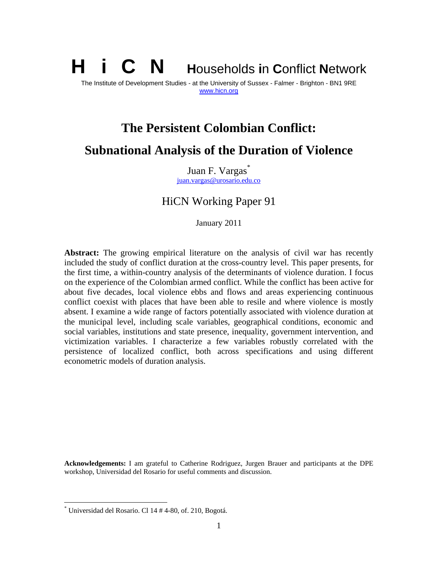H i C N **H**ouseholds **i**n **C**onflict **N**etwork The Institute of Development Studies - at the University of Sussex - Falmer - Brighton - BN1 9RE www.hicn.org

# **The Persistent Colombian Conflict: Subnational Analysis of the Duration of Violence**

Juan F. Vargas<sup>\*</sup> juan.vargas@urosario.edu.co

HiCN Working Paper 91

January 2011

**Abstract:** The growing empirical literature on the analysis of civil war has recently included the study of conflict duration at the cross-country level. This paper presents, for the first time, a within-country analysis of the determinants of violence duration. I focus on the experience of the Colombian armed conflict. While the conflict has been active for about five decades, local violence ebbs and flows and areas experiencing continuous conflict coexist with places that have been able to resile and where violence is mostly absent. I examine a wide range of factors potentially associated with violence duration at the municipal level, including scale variables, geographical conditions, economic and social variables, institutions and state presence, inequality, government intervention, and victimization variables. I characterize a few variables robustly correlated with the persistence of localized conflict, both across specifications and using different econometric models of duration analysis.

**Acknowledgements:** I am grateful to Catherine Rodriguez, Jurgen Brauer and participants at the DPE workshop, Universidad del Rosario for useful comments and discussion.

 $\overline{a}$ 

<sup>\*</sup> Universidad del Rosario. Cl 14 # 4-80, of. 210, Bogotá.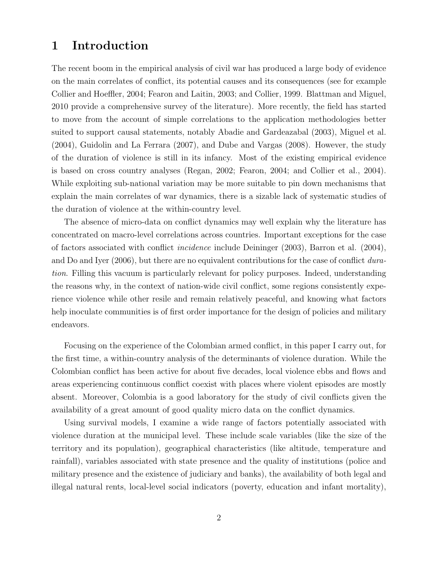# 1 Introduction

The recent boom in the empirical analysis of civil war has produced a large body of evidence on the main correlates of conflict, its potential causes and its consequences (see for example Collier and Hoeffler, 2004; Fearon and Laitin, 2003; and Collier, 1999. Blattman and Miguel, 2010 provide a comprehensive survey of the literature). More recently, the field has started to move from the account of simple correlations to the application methodologies better suited to support causal statements, notably Abadie and Gardeazabal (2003), Miguel et al. (2004), Guidolin and La Ferrara (2007), and Dube and Vargas (2008). However, the study of the duration of violence is still in its infancy. Most of the existing empirical evidence is based on cross country analyses (Regan, 2002; Fearon, 2004; and Collier et al., 2004). While exploiting sub-national variation may be more suitable to pin down mechanisms that explain the main correlates of war dynamics, there is a sizable lack of systematic studies of the duration of violence at the within-country level.

The absence of micro-data on conflict dynamics may well explain why the literature has concentrated on macro-level correlations across countries. Important exceptions for the case of factors associated with conflict incidence include Deininger (2003), Barron et al. (2004), and Do and Iyer (2006), but there are no equivalent contributions for the case of conflict duration. Filling this vacuum is particularly relevant for policy purposes. Indeed, understanding the reasons why, in the context of nation-wide civil conflict, some regions consistently experience violence while other resile and remain relatively peaceful, and knowing what factors help inoculate communities is of first order importance for the design of policies and military endeavors.

Focusing on the experience of the Colombian armed conflict, in this paper I carry out, for the first time, a within-country analysis of the determinants of violence duration. While the Colombian conflict has been active for about five decades, local violence ebbs and flows and areas experiencing continuous conflict coexist with places where violent episodes are mostly absent. Moreover, Colombia is a good laboratory for the study of civil conflicts given the availability of a great amount of good quality micro data on the conflict dynamics.

Using survival models, I examine a wide range of factors potentially associated with violence duration at the municipal level. These include scale variables (like the size of the territory and its population), geographical characteristics (like altitude, temperature and rainfall), variables associated with state presence and the quality of institutions (police and military presence and the existence of judiciary and banks), the availability of both legal and illegal natural rents, local-level social indicators (poverty, education and infant mortality),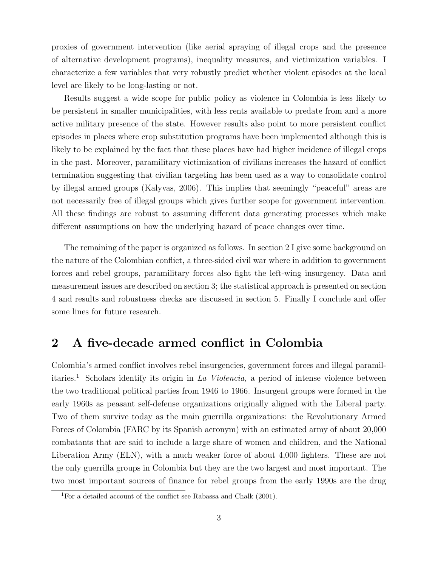proxies of government intervention (like aerial spraying of illegal crops and the presence of alternative development programs), inequality measures, and victimization variables. I characterize a few variables that very robustly predict whether violent episodes at the local level are likely to be long-lasting or not.

Results suggest a wide scope for public policy as violence in Colombia is less likely to be persistent in smaller municipalities, with less rents available to predate from and a more active military presence of the state. However results also point to more persistent conflict episodes in places where crop substitution programs have been implemented although this is likely to be explained by the fact that these places have had higher incidence of illegal crops in the past. Moreover, paramilitary victimization of civilians increases the hazard of conflict termination suggesting that civilian targeting has been used as a way to consolidate control by illegal armed groups (Kalyvas, 2006). This implies that seemingly "peaceful" areas are not necessarily free of illegal groups which gives further scope for government intervention. All these findings are robust to assuming different data generating processes which make different assumptions on how the underlying hazard of peace changes over time.

The remaining of the paper is organized as follows. In section 2 I give some background on the nature of the Colombian conflict, a three-sided civil war where in addition to government forces and rebel groups, paramilitary forces also fight the left-wing insurgency. Data and measurement issues are described on section 3; the statistical approach is presented on section 4 and results and robustness checks are discussed in section 5. Finally I conclude and offer some lines for future research.

## 2 A five-decade armed conflict in Colombia

Colombia's armed conflict involves rebel insurgencies, government forces and illegal paramilitaries.<sup>1</sup> Scholars identify its origin in La Violencia, a period of intense violence between the two traditional political parties from 1946 to 1966. Insurgent groups were formed in the early 1960s as peasant self-defense organizations originally aligned with the Liberal party. Two of them survive today as the main guerrilla organizations: the Revolutionary Armed Forces of Colombia (FARC by its Spanish acronym) with an estimated army of about 20,000 combatants that are said to include a large share of women and children, and the National Liberation Army (ELN), with a much weaker force of about 4,000 fighters. These are not the only guerrilla groups in Colombia but they are the two largest and most important. The two most important sources of finance for rebel groups from the early 1990s are the drug

<sup>1</sup>For a detailed account of the conflict see Rabassa and Chalk (2001).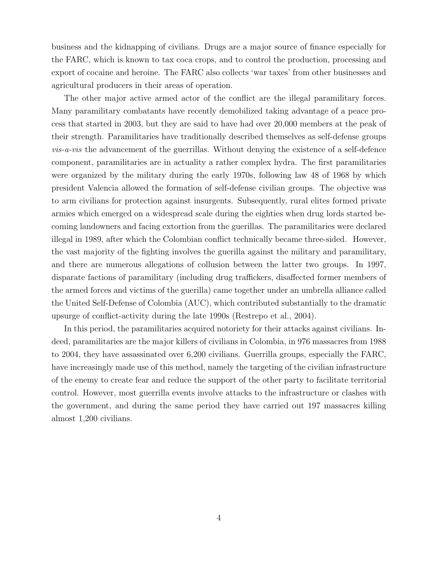business and the kidnapping of civilians. Drugs are a major source of finance especially for the FARC, which is known to tax coca crops, and to control the production, processing and export of cocaine and heroine. The FARC also collects 'war taxes' from other businesses and agricultural producers in their areas of operation.

The other major active armed actor of the conflict are the illegal paramilitary forces. Many paramilitary combatants have recently demobilized taking advantage of a peace process that started in 2003, but they are said to have had over 20,000 members at the peak of their strength. Paramilitaries have traditionally described themselves as self-defense groups vis-a-vis the advancement of the guerrillas. Without denying the existence of a self-defence component, paramilitaries are in actuality a rather complex hydra. The first paramilitaries were organized by the military during the early 1970s, following law 48 of 1968 by which president Valencia allowed the formation of self-defense civilian groups. The objective was to arm civilians for protection against insurgents. Subsequently, rural elites formed private armies which emerged on a widespread scale during the eighties when drug lords started becoming landowners and facing extortion from the guerillas. The paramilitaries were declared illegal in 1989, after which the Colombian conflict technically became three-sided. However, the vast majority of the fighting involves the guerilla against the military and paramilitary, and there are numerous allegations of collusion between the latter two groups. In 1997, disparate factions of paramilitary (including drug traffickers, disaffected former members of the armed forces and victims of the guerilla) came together under an umbrella alliance called the United Self-Defense of Colombia (AUC), which contributed substantially to the dramatic upsurge of conflict-activity during the late 1990s (Restrepo et al., 2004).

In this period, the paramilitaries acquired notoriety for their attacks against civilians. Indeed, paramilitaries are the major killers of civilians in Colombia, in 976 massacres from 1988 to 2004, they have assassinated over 6,200 civilians. Guerrilla groups, especially the FARC, have increasingly made use of this method, namely the targeting of the civilian infrastructure of the enemy to create fear and reduce the support of the other party to facilitate territorial control. However, most guerrilla events involve attacks to the infrastructure or clashes with the government, and during the same period they have carried out 197 massacres killing almost 1,200 civilians.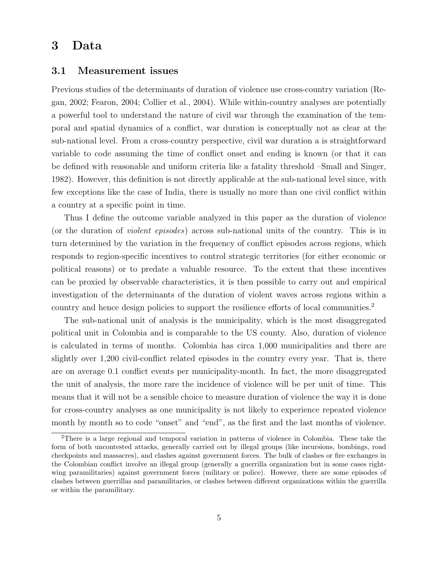## 3 Data

#### 3.1 Measurement issues

Previous studies of the determinants of duration of violence use cross-country variation (Regan, 2002; Fearon, 2004; Collier et al., 2004). While within-country analyses are potentially a powerful tool to understand the nature of civil war through the examination of the temporal and spatial dynamics of a conflict, war duration is conceptually not as clear at the sub-national level. From a cross-country perspective, civil war duration a is straightforward variable to code assuming the time of conflict onset and ending is known (or that it can be defined with reasonable and uniform criteria like a fatality threshold –Small and Singer, 1982). However, this definition is not directly applicable at the sub-national level since, with few exceptions like the case of India, there is usually no more than one civil conflict within a country at a specific point in time.

Thus I define the outcome variable analyzed in this paper as the duration of violence (or the duration of violent episodes) across sub-national units of the country. This is in turn determined by the variation in the frequency of conflict episodes across regions, which responds to region-specific incentives to control strategic territories (for either economic or political reasons) or to predate a valuable resource. To the extent that these incentives can be proxied by observable characteristics, it is then possible to carry out and empirical investigation of the determinants of the duration of violent waves across regions within a country and hence design policies to support the resilience efforts of local communities.<sup>2</sup>

The sub-national unit of analysis is the municipality, which is the most disaggregated political unit in Colombia and is comparable to the US county. Also, duration of violence is calculated in terms of months. Colombia has circa 1,000 municipalities and there are slightly over 1,200 civil-conflict related episodes in the country every year. That is, there are on average 0.1 conflict events per municipality-month. In fact, the more disaggregated the unit of analysis, the more rare the incidence of violence will be per unit of time. This means that it will not be a sensible choice to measure duration of violence the way it is done for cross-country analyses as one municipality is not likely to experience repeated violence month by month so to code "onset" and "end", as the first and the last months of violence.

<sup>2</sup>There is a large regional and temporal variation in patterns of violence in Colombia. These take the form of both uncontested attacks, generally carried out by illegal groups (like incursions, bombings, road checkpoints and massacres), and clashes against government forces. The bulk of clashes or fire exchanges in the Colombian conflict involve an illegal group (generally a guerrilla organization but in some cases rightwing paramilitaries) against government forces (military or police). However, there are some episodes of clashes between guerrillas and paramilitaries, or clashes between different organizations within the guerrilla or within the paramilitary.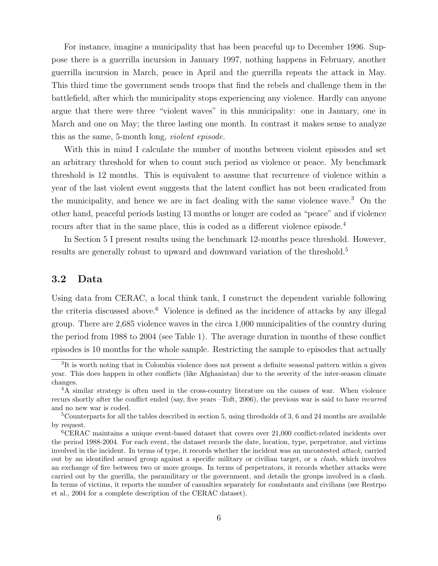For instance, imagine a municipality that has been peaceful up to December 1996. Suppose there is a guerrilla incursion in January 1997, nothing happens in February, another guerrilla incursion in March, peace in April and the guerrilla repeats the attack in May. This third time the government sends troops that find the rebels and challenge them in the battlefield, after which the municipality stops experiencing any violence. Hardly can anyone argue that there were three "violent waves" in this municipality: one in January, one in March and one on May; the three lasting one month. In contrast it makes sense to analyze this as the same, 5-month long, violent episode.

With this in mind I calculate the number of months between violent episodes and set an arbitrary threshold for when to count such period as violence or peace. My benchmark threshold is 12 months. This is equivalent to assume that recurrence of violence within a year of the last violent event suggests that the latent conflict has not been eradicated from the municipality, and hence we are in fact dealing with the same violence wave.<sup>3</sup> On the other hand, peaceful periods lasting 13 months or longer are coded as "peace" and if violence recurs after that in the same place, this is coded as a different violence episode.<sup>4</sup>

In Section 5 I present results using the benchmark 12-months peace threshold. However, results are generally robust to upward and downward variation of the threshold.<sup>5</sup>

#### 3.2 Data

Using data from CERAC, a local think tank, I construct the dependent variable following the criteria discussed above.<sup>6</sup> Violence is defined as the incidence of attacks by any illegal group. There are 2,685 violence waves in the circa 1,000 municipalities of the country during the period from 1988 to 2004 (see Table 1). The average duration in months of these conflict episodes is 10 months for the whole sample. Restricting the sample to episodes that actually

<sup>&</sup>lt;sup>3</sup>It is worth noting that in Colombia violence does not present a definite seasonal pattern within a given year. This does happen in other conflicts (like Afghanistan) due to the severity of the inter-season climate changes.

<sup>&</sup>lt;sup>4</sup>A similar strategy is often used in the cross-country literature on the causes of war. When violence recurs shortly after the conflict ended (say, five years –Toft, 2006), the previous war is said to have recurred and no new war is coded.

<sup>5</sup>Counterparts for all the tables described in section 5, using thresholds of 3, 6 and 24 months are available by request.

<sup>6</sup>CERAC maintains a unique event-based dataset that covers over 21,000 conflict-related incidents over the period 1988-2004. For each event, the dataset records the date, location, type, perpetrator, and victims involved in the incident. In terms of type, it records whether the incident was an uncontested attack, carried out by an identified armed group against a specific military or civilian target, or a clash, which involves an exchange of fire between two or more groups. In terms of perpetrators, it records whether attacks were carried out by the guerilla, the paramilitary or the government, and details the groups involved in a clash. In terms of victims, it reports the number of casualties separately for combatants and civilians (see Restrpo et al., 2004 for a complete description of the CERAC dataset).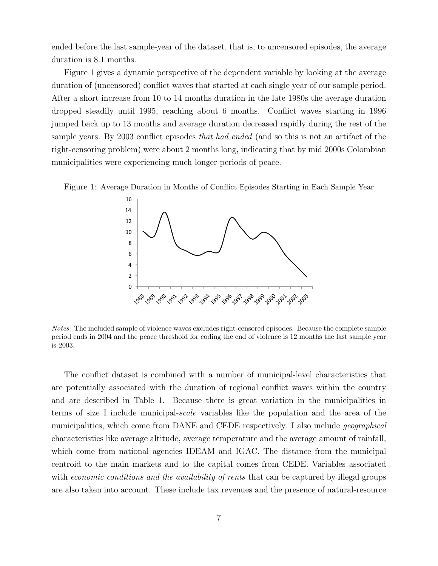ended before the last sample-year of the dataset, that is, to uncensored episodes, the average duration is 8.1 months.

Figure 1 gives a dynamic perspective of the dependent variable by looking at the average duration of (uncensored) conflict waves that started at each single year of our sample period. After a short increase from 10 to 14 months duration in the late 1980s the average duration dropped steadily until 1995, reaching about 6 months. Conflict waves starting in 1996 jumped back up to 13 months and average duration decreased rapidly during the rest of the sample years. By 2003 conflict episodes that had ended (and so this is not an artifact of the right-censoring problem) were about 2 months long, indicating that by mid 2000s Colombian municipalities were experiencing much longer periods of peace.





Notes. The included sample of violence waves excludes right-censored episodes. Because the complete sample period ends in 2004 and the peace threshold for coding the end of violence is 12 months the last sample year is 2003.

The conflict dataset is combined with a number of municipal-level characteristics that are potentially associated with the duration of regional conflict waves within the country and are described in Table 1. Because there is great variation in the municipalities in terms of size I include municipal-scale variables like the population and the area of the municipalities, which come from DANE and CEDE respectively. I also include *geographical* characteristics like average altitude, average temperature and the average amount of rainfall, which come from national agencies IDEAM and IGAC. The distance from the municipal centroid to the main markets and to the capital comes from CEDE. Variables associated with *economic conditions and the availability of rents* that can be captured by illegal groups are also taken into account. These include tax revenues and the presence of natural-resource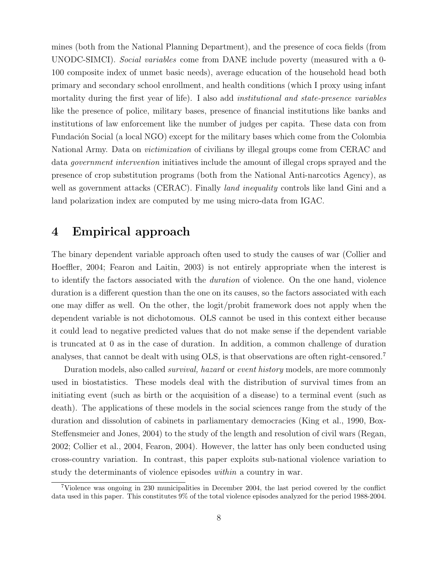mines (both from the National Planning Department), and the presence of coca fields (from UNODC-SIMCI). Social variables come from DANE include poverty (measured with a 0- 100 composite index of unmet basic needs), average education of the household head both primary and secondary school enrollment, and health conditions (which I proxy using infant mortality during the first year of life). I also add *institutional and state-presence variables* like the presence of police, military bases, presence of financial institutions like banks and institutions of law enforcement like the number of judges per capita. These data con from Fundación Social (a local NGO) except for the military bases which come from the Colombia National Army. Data on victimization of civilians by illegal groups come from CERAC and data government intervention initiatives include the amount of illegal crops sprayed and the presence of crop substitution programs (both from the National Anti-narcotics Agency), as well as government attacks (CERAC). Finally *land inequality* controls like land Gini and a land polarization index are computed by me using micro-data from IGAC.

# 4 Empirical approach

The binary dependent variable approach often used to study the causes of war (Collier and Hoeffler, 2004; Fearon and Laitin, 2003) is not entirely appropriate when the interest is to identify the factors associated with the duration of violence. On the one hand, violence duration is a different question than the one on its causes, so the factors associated with each one may differ as well. On the other, the logit/probit framework does not apply when the dependent variable is not dichotomous. OLS cannot be used in this context either because it could lead to negative predicted values that do not make sense if the dependent variable is truncated at 0 as in the case of duration. In addition, a common challenge of duration analyses, that cannot be dealt with using OLS, is that observations are often right-censored.<sup>7</sup>

Duration models, also called *survival*, hazard or event history models, are more commonly used in biostatistics. These models deal with the distribution of survival times from an initiating event (such as birth or the acquisition of a disease) to a terminal event (such as death). The applications of these models in the social sciences range from the study of the duration and dissolution of cabinets in parliamentary democracies (King et al., 1990, Box-Steffensmeier and Jones, 2004) to the study of the length and resolution of civil wars (Regan, 2002; Collier et al., 2004, Fearon, 2004). However, the latter has only been conducted using cross-country variation. In contrast, this paper exploits sub-national violence variation to study the determinants of violence episodes within a country in war.

<sup>7</sup>Violence was ongoing in 230 municipalities in December 2004, the last period covered by the conflict data used in this paper. This constitutes 9% of the total violence episodes analyzed for the period 1988-2004.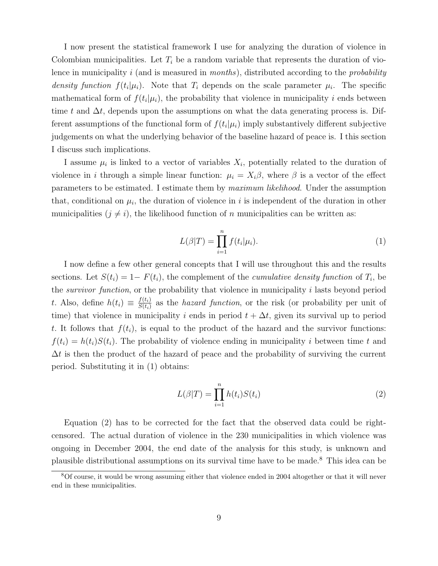I now present the statistical framework I use for analyzing the duration of violence in Colombian municipalities. Let  $T_i$  be a random variable that represents the duration of violence in municipality i (and is measured in *months*), distributed according to the *probability* density function  $f(t_i|\mu_i)$ . Note that  $T_i$  depends on the scale parameter  $\mu_i$ . The specific mathematical form of  $f(t_i|\mu_i)$ , the probability that violence in municipality i ends between time t and  $\Delta t$ , depends upon the assumptions on what the data generating process is. Different assumptions of the functional form of  $f(t_i|\mu_i)$  imply substantively different subjective judgements on what the underlying behavior of the baseline hazard of peace is. I this section I discuss such implications.

I assume  $\mu_i$  is linked to a vector of variables  $X_i$ , potentially related to the duration of violence in i through a simple linear function:  $\mu_i = X_i \beta$ , where  $\beta$  is a vector of the effect parameters to be estimated. I estimate them by maximum likelihood. Under the assumption that, conditional on  $\mu_i$ , the duration of violence in i is independent of the duration in other municipalities  $(j \neq i)$ , the likelihood function of n municipalities can be written as:

$$
L(\beta|T) = \prod_{i=1}^{n} f(t_i|\mu_i). \tag{1}
$$

I now define a few other general concepts that I will use throughout this and the results sections. Let  $S(t_i) = 1 - F(t_i)$ , the complement of the *cumulative density function* of  $T_i$ , be the survivor function, or the probability that violence in municipality i lasts beyond period t. Also, define  $h(t_i) \equiv \frac{f(t_i)}{S(t_i)}$  $\frac{f(t_i)}{S(t_i)}$  as the *hazard function*, or the risk (or probability per unit of time) that violence in municipality i ends in period  $t + \Delta t$ , given its survival up to period t. It follows that  $f(t_i)$ , is equal to the product of the hazard and the survivor functions:  $f(t_i) = h(t_i)S(t_i)$ . The probability of violence ending in municipality i between time t and  $\Delta t$  is then the product of the hazard of peace and the probability of surviving the current period. Substituting it in (1) obtains:

$$
L(\beta|T) = \prod_{i=1}^{n} h(t_i)S(t_i)
$$
\n(2)

Equation (2) has to be corrected for the fact that the observed data could be rightcensored. The actual duration of violence in the 230 municipalities in which violence was ongoing in December 2004, the end date of the analysis for this study, is unknown and plausible distributional assumptions on its survival time have to be made.<sup>8</sup> This idea can be

<sup>8</sup>Of course, it would be wrong assuming either that violence ended in 2004 altogether or that it will never end in these municipalities.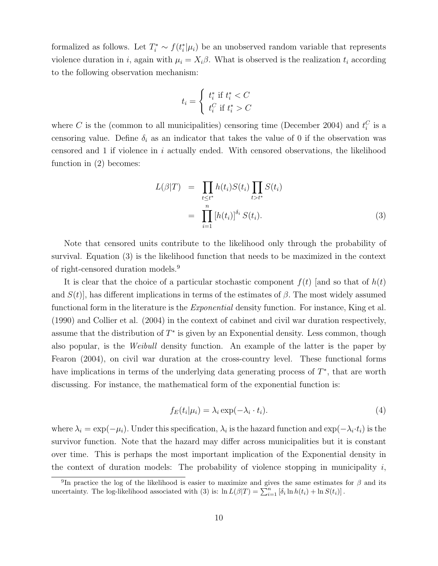formalized as follows. Let  $T_i^* \sim f(t_i^*|\mu_i)$  be an unobserved random variable that represents violence duration in i, again with  $\mu_i = X_i \beta$ . What is observed is the realization  $t_i$  according to the following observation mechanism:

$$
t_i = \begin{cases} t_i^* \text{ if } t_i^* < C \\ t_i^C \text{ if } t_i^* > C \end{cases}
$$

where C is the (common to all municipalities) censoring time (December 2004) and  $t_i^C$  is a censoring value. Define  $\delta_i$  as an indicator that takes the value of 0 if the observation was censored and 1 if violence in i actually ended. With censored observations, the likelihood function in (2) becomes:

$$
L(\beta|T) = \prod_{t \leq t^*} h(t_i)S(t_i) \prod_{t > t^*} S(t_i)
$$
  
= 
$$
\prod_{i=1}^n [h(t_i)]^{\delta_i} S(t_i).
$$
 (3)

Note that censored units contribute to the likelihood only through the probability of survival. Equation (3) is the likelihood function that needs to be maximized in the context of right-censored duration models.<sup>9</sup>

It is clear that the choice of a particular stochastic component  $f(t)$  [and so that of  $h(t)$ ] and  $S(t)$ , has different implications in terms of the estimates of  $\beta$ . The most widely assumed functional form in the literature is the *Exponential* density function. For instance, King et al. (1990) and Collier et al. (2004) in the context of cabinet and civil war duration respectively, assume that the distribution of  $T^*$  is given by an Exponential density. Less common, though also popular, is the Weibull density function. An example of the latter is the paper by Fearon (2004), on civil war duration at the cross-country level. These functional forms have implications in terms of the underlying data generating process of  $T^*$ , that are worth discussing. For instance, the mathematical form of the exponential function is:

$$
f_E(t_i|\mu_i) = \lambda_i \exp(-\lambda_i \cdot t_i). \tag{4}
$$

where  $\lambda_i = \exp(-\mu_i)$ . Under this specification,  $\lambda_i$  is the hazard function and  $\exp(-\lambda_i \cdot t_i)$  is the survivor function. Note that the hazard may differ across municipalities but it is constant over time. This is perhaps the most important implication of the Exponential density in the context of duration models: The probability of violence stopping in municipality  $i$ ,

<sup>&</sup>lt;sup>9</sup>In practice the log of the likelihood is easier to maximize and gives the same estimates for  $\beta$  and its uncertainty. The log-likelihood associated with (3) is:  $\ln L(\beta|T) = \sum_{i=1}^{n} [\delta_i \ln h(t_i) + \ln S(t_i)]$ .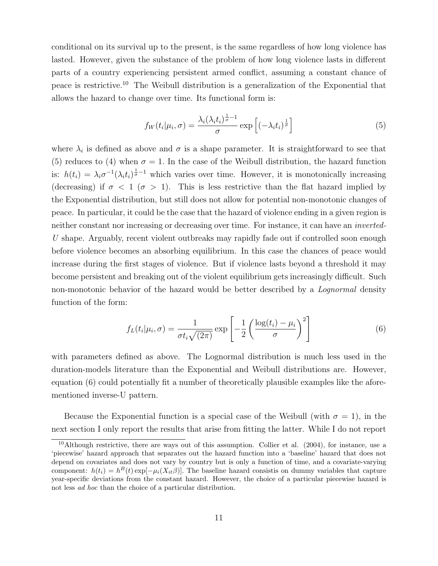conditional on its survival up to the present, is the same regardless of how long violence has lasted. However, given the substance of the problem of how long violence lasts in different parts of a country experiencing persistent armed conflict, assuming a constant chance of peace is restrictive.<sup>10</sup> The Weibull distribution is a generalization of the Exponential that allows the hazard to change over time. Its functional form is:

$$
f_W(t_i|\mu_i,\sigma) = \frac{\lambda_i(\lambda_i t_i)^{\frac{1}{\sigma}-1}}{\sigma} \exp\left[(-\lambda_i t_i)^{\frac{1}{\sigma}}\right] \tag{5}
$$

where  $\lambda_i$  is defined as above and  $\sigma$  is a shape parameter. It is straightforward to see that (5) reduces to (4) when  $\sigma = 1$ . In the case of the Weibull distribution, the hazard function is:  $h(t_i) = \lambda_i \sigma^{-1} (\lambda_i t_i)^{\frac{1}{\sigma}-1}$  which varies over time. However, it is monotonically increasing (decreasing) if  $\sigma < 1$  ( $\sigma > 1$ ). This is less restrictive than the flat hazard implied by the Exponential distribution, but still does not allow for potential non-monotonic changes of peace. In particular, it could be the case that the hazard of violence ending in a given region is neither constant nor increasing or decreasing over time. For instance, it can have an inverted-U shape. Arguably, recent violent outbreaks may rapidly fade out if controlled soon enough before violence becomes an absorbing equilibrium. In this case the chances of peace would increase during the first stages of violence. But if violence lasts beyond a threshold it may become persistent and breaking out of the violent equilibrium gets increasingly difficult. Such non-monotonic behavior of the hazard would be better described by a Lognormal density function of the form:

$$
f_L(t_i|\mu_i,\sigma) = \frac{1}{\sigma t_i \sqrt{(2\pi)}} \exp\left[-\frac{1}{2}\left(\frac{\log(t_i) - \mu_i}{\sigma}\right)^2\right]
$$
(6)

with parameters defined as above. The Lognormal distribution is much less used in the duration-models literature than the Exponential and Weibull distributions are. However, equation (6) could potentially fit a number of theoretically plausible examples like the aforementioned inverse-U pattern.

Because the Exponential function is a special case of the Weibull (with  $\sigma = 1$ ), in the next section I only report the results that arise from fitting the latter. While I do not report

<sup>&</sup>lt;sup>10</sup>Although restrictive, there are ways out of this assumption. Collier et al.  $(2004)$ , for instance, use a 'piecewise' hazard approach that separates out the hazard function into a 'baseline' hazard that does not depend on covariates and does not vary by country but is only a function of time, and a covariate-varying component:  $h(t_i) = h^B(t) \exp[-\mu_i(X_{it}\beta)]$ . The baseline hazard consistis on dummy variables that capture year-specific deviations from the constant hazard. However, the choice of a particular piecewise hazard is not less ad hoc than the choice of a particular distribution.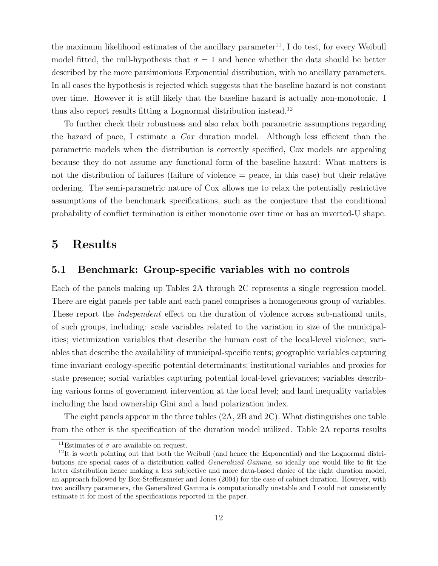the maximum likelihood estimates of the ancillary parameter<sup>11</sup>, I do test, for every Weibull model fitted, the null-hypothesis that  $\sigma = 1$  and hence whether the data should be better described by the more parsimonious Exponential distribution, with no ancillary parameters. In all cases the hypothesis is rejected which suggests that the baseline hazard is not constant over time. However it is still likely that the baseline hazard is actually non-monotonic. I thus also report results fitting a Lognormal distribution instead.<sup>12</sup>

To further check their robustness and also relax both parametric assumptions regarding the hazard of pace, I estimate a Cox duration model. Although less efficient than the parametric models when the distribution is correctly specified, Cox models are appealing because they do not assume any functional form of the baseline hazard: What matters is not the distribution of failures (failure of violence = peace, in this case) but their relative ordering. The semi-parametric nature of Cox allows me to relax the potentially restrictive assumptions of the benchmark specifications, such as the conjecture that the conditional probability of conflict termination is either monotonic over time or has an inverted-U shape.

## 5 Results

#### 5.1 Benchmark: Group-specific variables with no controls

Each of the panels making up Tables 2A through 2C represents a single regression model. There are eight panels per table and each panel comprises a homogeneous group of variables. These report the independent effect on the duration of violence across sub-national units, of such groups, including: scale variables related to the variation in size of the municipalities; victimization variables that describe the human cost of the local-level violence; variables that describe the availability of municipal-specific rents; geographic variables capturing time invariant ecology-specific potential determinants; institutional variables and proxies for state presence; social variables capturing potential local-level grievances; variables describing various forms of government intervention at the local level; and land inequality variables including the land ownership Gini and a land polarization index.

The eight panels appear in the three tables (2A, 2B and 2C). What distinguishes one table from the other is the specification of the duration model utilized. Table 2A reports results

<sup>&</sup>lt;sup>11</sup>Estimates of  $\sigma$  are available on request.

<sup>&</sup>lt;sup>12</sup>It is worth pointing out that both the Weibull (and hence the Exponential) and the Lognormal distributions are special cases of a distribution called Generalized Gamma, so ideally one would like to fit the latter distribution hence making a less subjective and more data-based choice of the right duration model, an approach followed by Box-Steffensmeier and Jones (2004) for the case of cabinet duration. However, with two ancillary parameters, the Generalized Gamma is computationally unstable and I could not consistently estimate it for most of the specifications reported in the paper.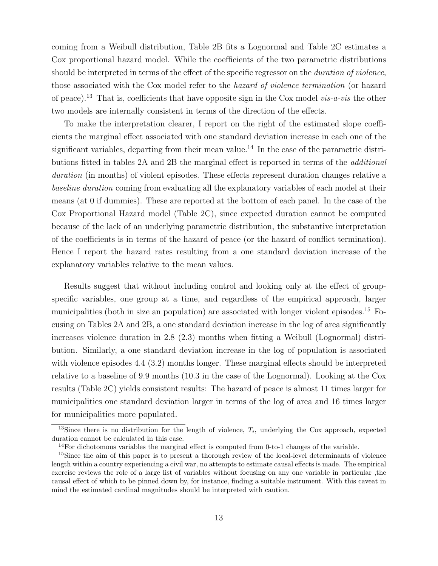coming from a Weibull distribution, Table 2B fits a Lognormal and Table 2C estimates a Cox proportional hazard model. While the coefficients of the two parametric distributions should be interpreted in terms of the effect of the specific regressor on the *duration of violence*, those associated with the Cox model refer to the hazard of violence termination (or hazard of peace).<sup>13</sup> That is, coefficients that have opposite sign in the Cox model *vis-a-vis* the other two models are internally consistent in terms of the direction of the effects.

To make the interpretation clearer, I report on the right of the estimated slope coefficients the marginal effect associated with one standard deviation increase in each one of the significant variables, departing from their mean value.<sup>14</sup> In the case of the parametric distributions fitted in tables 2A and 2B the marginal effect is reported in terms of the additional duration (in months) of violent episodes. These effects represent duration changes relative a baseline duration coming from evaluating all the explanatory variables of each model at their means (at 0 if dummies). These are reported at the bottom of each panel. In the case of the Cox Proportional Hazard model (Table 2C), since expected duration cannot be computed because of the lack of an underlying parametric distribution, the substantive interpretation of the coefficients is in terms of the hazard of peace (or the hazard of conflict termination). Hence I report the hazard rates resulting from a one standard deviation increase of the explanatory variables relative to the mean values.

Results suggest that without including control and looking only at the effect of groupspecific variables, one group at a time, and regardless of the empirical approach, larger municipalities (both in size an population) are associated with longer violent episodes.<sup>15</sup> Focusing on Tables 2A and 2B, a one standard deviation increase in the log of area significantly increases violence duration in 2.8 (2.3) months when fitting a Weibull (Lognormal) distribution. Similarly, a one standard deviation increase in the log of population is associated with violence episodes 4.4 (3.2) months longer. These marginal effects should be interpreted relative to a baseline of 9.9 months (10.3 in the case of the Lognormal). Looking at the Cox results (Table 2C) yields consistent results: The hazard of peace is almost 11 times larger for municipalities one standard deviation larger in terms of the log of area and 16 times larger for municipalities more populated.

<sup>&</sup>lt;sup>13</sup>Since there is no distribution for the length of violence,  $T_i$ , underlying the Cox approach, expected duration cannot be calculated in this case.

<sup>&</sup>lt;sup>14</sup>For dichotomous variables the marginal effect is computed from 0-to-1 changes of the variable.

<sup>&</sup>lt;sup>15</sup>Since the aim of this paper is to present a thorough review of the local-level determinants of violence length within a country experiencing a civil war, no attempts to estimate causal effects is made. The empirical exercise reviews the role of a large list of variables without focusing on any one variable in particular ,the causal effect of which to be pinned down by, for instance, finding a suitable instrument. With this caveat in mind the estimated cardinal magnitudes should be interpreted with caution.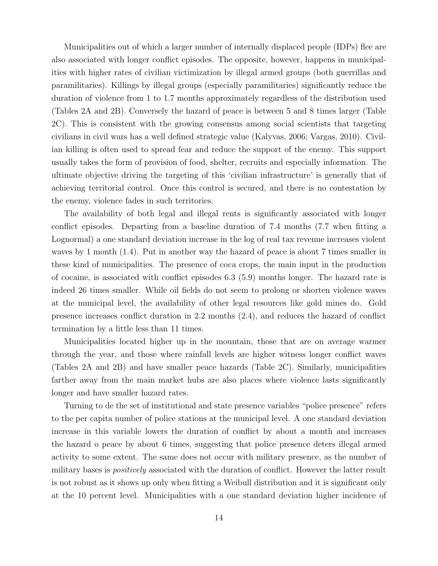Municipalities out of which a larger number of internally displaced people (IDPs) flee are also associated with longer conflict episodes. The opposite, however, happens in municipalities with higher rates of civilian victimization by illegal armed groups (both guerrillas and paramilitaries). Killings by illegal groups (especially paramilitaries) significantly reduce the duration of violence from 1 to 1.7 months approximately regardless of the distribution used (Tables 2A and 2B). Conversely the hazard of peace is between 5 and 8 times larger (Table 2C). This is consistent with the growing consensus among social scientists that targeting civilians in civil wars has a well defined strategic value (Kalyvas, 2006; Vargas, 2010). Civilian killing is often used to spread fear and reduce the support of the enemy. This support usually takes the form of provision of food, shelter, recruits and especially information. The ultimate objective driving the targeting of this 'civilian infrastructure' is generally that of achieving territorial control. Once this control is secured, and there is no contestation by the enemy, violence fades in such territories.

The availability of both legal and illegal rents is significantly associated with longer conflict episodes. Departing from a baseline duration of 7.4 months (7.7 when fitting a Lognormal) a one standard deviation increase in the log of real tax revenue increases violent waves by 1 month (1.4). Put in another way the hazard of peace is about 7 times smaller in these kind of municipalities. The presence of coca crops, the main input in the production of cocaine, is associated with conflict episodes 6.3 (5.9) months longer. The hazard rate is indeed 26 times smaller. While oil fields do not seem to prolong or shorten violence waves at the municipal level, the availability of other legal resources like gold mines do. Gold presence increases conflict duration in 2.2 months (2.4), and reduces the hazard of conflict termination by a little less than 11 times.

Municipalities located higher up in the mountain, those that are on average warmer through the year, and those where rainfall levels are higher witness longer conflict waves (Tables 2A and 2B) and have smaller peace hazards (Table 2C). Similarly, municipalities farther away from the main market hubs are also places where violence lasts significantly longer and have smaller hazard rates.

Turning to de the set of institutional and state presence variables "police presence" refers to the per capita number of police stations at the municipal level. A one standard deviation increase in this variable lowers the duration of conflict by about a month and increases the hazard o peace by about 6 times, suggesting that police presence deters illegal armed activity to some extent. The same does not occur with military presence, as the number of military bases is *positively* associated with the duration of conflict. However the latter result is not robust as it shows up only when fitting a Weibull distribution and it is significant only at the 10 percent level. Municipalities with a one standard deviation higher incidence of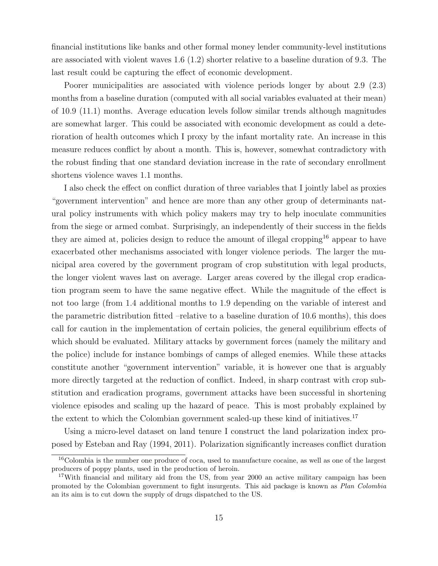financial institutions like banks and other formal money lender community-level institutions are associated with violent waves 1.6 (1.2) shorter relative to a baseline duration of 9.3. The last result could be capturing the effect of economic development.

Poorer municipalities are associated with violence periods longer by about 2.9 (2.3) months from a baseline duration (computed with all social variables evaluated at their mean) of 10.9 (11.1) months. Average education levels follow similar trends although magnitudes are somewhat larger. This could be associated with economic development as could a deterioration of health outcomes which I proxy by the infant mortality rate. An increase in this measure reduces conflict by about a month. This is, however, somewhat contradictory with the robust finding that one standard deviation increase in the rate of secondary enrollment shortens violence waves 1.1 months.

I also check the effect on conflict duration of three variables that I jointly label as proxies "government intervention" and hence are more than any other group of determinants natural policy instruments with which policy makers may try to help inoculate communities from the siege or armed combat. Surprisingly, an independently of their success in the fields they are aimed at, policies design to reduce the amount of illegal cropping<sup>16</sup> appear to have exacerbated other mechanisms associated with longer violence periods. The larger the municipal area covered by the government program of crop substitution with legal products, the longer violent waves last on average. Larger areas covered by the illegal crop eradication program seem to have the same negative effect. While the magnitude of the effect is not too large (from 1.4 additional months to 1.9 depending on the variable of interest and the parametric distribution fitted –relative to a baseline duration of 10.6 months), this does call for caution in the implementation of certain policies, the general equilibrium effects of which should be evaluated. Military attacks by government forces (namely the military and the police) include for instance bombings of camps of alleged enemies. While these attacks constitute another "government intervention" variable, it is however one that is arguably more directly targeted at the reduction of conflict. Indeed, in sharp contrast with crop substitution and eradication programs, government attacks have been successful in shortening violence episodes and scaling up the hazard of peace. This is most probably explained by the extent to which the Colombian government scaled-up these kind of initiatives.<sup>17</sup>

Using a micro-level dataset on land tenure I construct the land polarization index proposed by Esteban and Ray (1994, 2011). Polarization significantly increases conflict duration

<sup>16</sup>Colombia is the number one produce of coca, used to manufacture cocaine, as well as one of the largest producers of poppy plants, used in the production of heroin.

<sup>&</sup>lt;sup>17</sup>With financial and military aid from the US, from year 2000 an active military campaign has been promoted by the Colombian government to fight insurgents. This aid package is known as Plan Colombia an its aim is to cut down the supply of drugs dispatched to the US.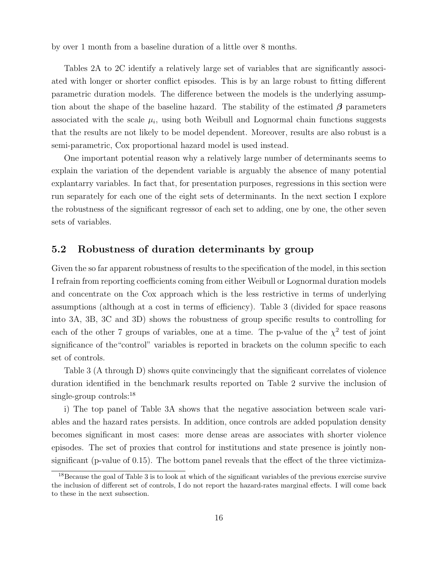by over 1 month from a baseline duration of a little over 8 months.

Tables 2A to 2C identify a relatively large set of variables that are significantly associated with longer or shorter conflict episodes. This is by an large robust to fitting different parametric duration models. The difference between the models is the underlying assumption about the shape of the baseline hazard. The stability of the estimated  $\beta$  parameters associated with the scale  $\mu_i$ , using both Weibull and Lognormal chain functions suggests that the results are not likely to be model dependent. Moreover, results are also robust is a semi-parametric, Cox proportional hazard model is used instead.

One important potential reason why a relatively large number of determinants seems to explain the variation of the dependent variable is arguably the absence of many potential explantarry variables. In fact that, for presentation purposes, regressions in this section were run separately for each one of the eight sets of determinants. In the next section I explore the robustness of the significant regressor of each set to adding, one by one, the other seven sets of variables.

#### 5.2 Robustness of duration determinants by group

Given the so far apparent robustness of results to the specification of the model, in this section I refrain from reporting coefficients coming from either Weibull or Lognormal duration models and concentrate on the Cox approach which is the less restrictive in terms of underlying assumptions (although at a cost in terms of efficiency). Table 3 (divided for space reasons into 3A, 3B, 3C and 3D) shows the robustness of group specific results to controlling for each of the other 7 groups of variables, one at a time. The p-value of the  $\chi^2$  test of joint significance of the"control" variables is reported in brackets on the column specific to each set of controls.

Table 3 (A through D) shows quite convincingly that the significant correlates of violence duration identified in the benchmark results reported on Table 2 survive the inclusion of single-group controls:<sup>18</sup>

i) The top panel of Table 3A shows that the negative association between scale variables and the hazard rates persists. In addition, once controls are added population density becomes significant in most cases: more dense areas are associates with shorter violence episodes. The set of proxies that control for institutions and state presence is jointly nonsignificant (p-value of 0.15). The bottom panel reveals that the effect of the three victimiza-

<sup>&</sup>lt;sup>18</sup>Because the goal of Table 3 is to look at which of the significant variables of the previous exercise survive the inclusion of different set of controls, I do not report the hazard-rates marginal effects. I will come back to these in the next subsection.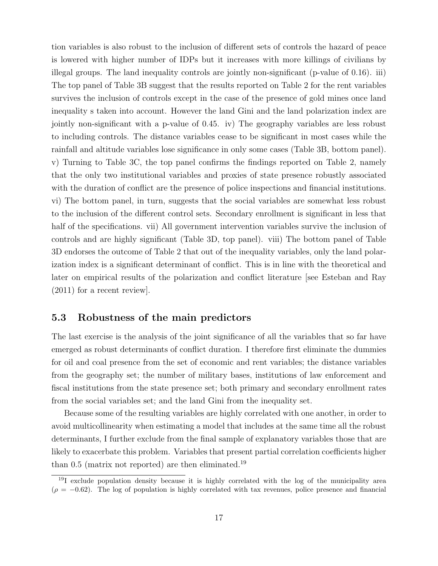tion variables is also robust to the inclusion of different sets of controls the hazard of peace is lowered with higher number of IDPs but it increases with more killings of civilians by illegal groups. The land inequality controls are jointly non-significant (p-value of 0.16). iii) The top panel of Table 3B suggest that the results reported on Table 2 for the rent variables survives the inclusion of controls except in the case of the presence of gold mines once land inequality s taken into account. However the land Gini and the land polarization index are jointly non-significant with a p-value of 0.45. iv) The geography variables are less robust to including controls. The distance variables cease to be significant in most cases while the rainfall and altitude variables lose significance in only some cases (Table 3B, bottom panel). v) Turning to Table 3C, the top panel confirms the findings reported on Table 2, namely that the only two institutional variables and proxies of state presence robustly associated with the duration of conflict are the presence of police inspections and financial institutions. vi) The bottom panel, in turn, suggests that the social variables are somewhat less robust to the inclusion of the different control sets. Secondary enrollment is significant in less that half of the specifications. vii) All government intervention variables survive the inclusion of controls and are highly significant (Table 3D, top panel). viii) The bottom panel of Table 3D endorses the outcome of Table 2 that out of the inequality variables, only the land polarization index is a significant determinant of conflict. This is in line with the theoretical and later on empirical results of the polarization and conflict literature [see Esteban and Ray (2011) for a recent review].

#### 5.3 Robustness of the main predictors

The last exercise is the analysis of the joint significance of all the variables that so far have emerged as robust determinants of conflict duration. I therefore first eliminate the dummies for oil and coal presence from the set of economic and rent variables; the distance variables from the geography set; the number of military bases, institutions of law enforcement and fiscal institutions from the state presence set; both primary and secondary enrollment rates from the social variables set; and the land Gini from the inequality set.

Because some of the resulting variables are highly correlated with one another, in order to avoid multicollinearity when estimating a model that includes at the same time all the robust determinants, I further exclude from the final sample of explanatory variables those that are likely to exacerbate this problem. Variables that present partial correlation coefficients higher than  $0.5$  (matrix not reported) are then eliminated.<sup>19</sup>

<sup>19</sup>I exclude population density because it is highly correlated with the log of the municipality area  $(\rho = -0.62)$ . The log of population is highly correlated with tax revenues, police presence and financial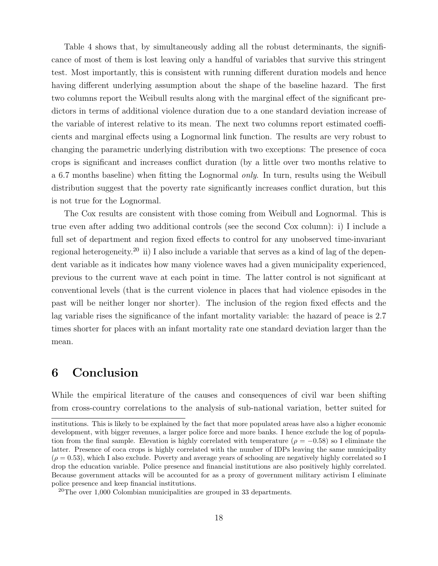Table 4 shows that, by simultaneously adding all the robust determinants, the significance of most of them is lost leaving only a handful of variables that survive this stringent test. Most importantly, this is consistent with running different duration models and hence having different underlying assumption about the shape of the baseline hazard. The first two columns report the Weibull results along with the marginal effect of the significant predictors in terms of additional violence duration due to a one standard deviation increase of the variable of interest relative to its mean. The next two columns report estimated coefficients and marginal effects using a Lognormal link function. The results are very robust to changing the parametric underlying distribution with two exceptions: The presence of coca crops is significant and increases conflict duration (by a little over two months relative to a 6.7 months baseline) when fitting the Lognormal only. In turn, results using the Weibull distribution suggest that the poverty rate significantly increases conflict duration, but this is not true for the Lognormal.

The Cox results are consistent with those coming from Weibull and Lognormal. This is true even after adding two additional controls (see the second Cox column): i) I include a full set of department and region fixed effects to control for any unobserved time-invariant regional heterogeneity.<sup>20</sup> ii) I also include a variable that serves as a kind of lag of the dependent variable as it indicates how many violence waves had a given municipality experienced, previous to the current wave at each point in time. The latter control is not significant at conventional levels (that is the current violence in places that had violence episodes in the past will be neither longer nor shorter). The inclusion of the region fixed effects and the lag variable rises the significance of the infant mortality variable: the hazard of peace is 2.7 times shorter for places with an infant mortality rate one standard deviation larger than the mean.

## 6 Conclusion

While the empirical literature of the causes and consequences of civil war been shifting from cross-country correlations to the analysis of sub-national variation, better suited for

institutions. This is likely to be explained by the fact that more populated areas have also a higher economic development, with bigger revenues, a larger police force and more banks. I hence exclude the log of population from the final sample. Elevation is highly correlated with temperature ( $\rho = -0.58$ ) so I eliminate the latter. Presence of coca crops is highly correlated with the number of IDPs leaving the same municipality  $(\rho = 0.53)$ , which I also exclude. Poverty and average years of schooling are negatively highly correlated so I drop the education variable. Police presence and financial institutions are also positively highly correlated. Because government attacks will be accounted for as a proxy of government military activism I eliminate police presence and keep financial institutions.

<sup>20</sup>The over 1,000 Colombian municipalities are grouped in 33 departments.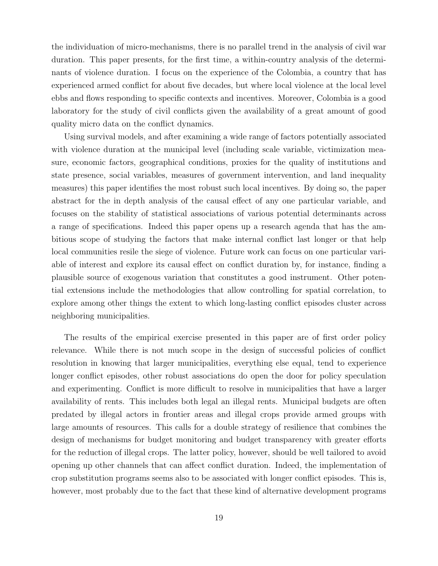the individuation of micro-mechanisms, there is no parallel trend in the analysis of civil war duration. This paper presents, for the first time, a within-country analysis of the determinants of violence duration. I focus on the experience of the Colombia, a country that has experienced armed conflict for about five decades, but where local violence at the local level ebbs and flows responding to specific contexts and incentives. Moreover, Colombia is a good laboratory for the study of civil conflicts given the availability of a great amount of good quality micro data on the conflict dynamics.

Using survival models, and after examining a wide range of factors potentially associated with violence duration at the municipal level (including scale variable, victimization measure, economic factors, geographical conditions, proxies for the quality of institutions and state presence, social variables, measures of government intervention, and land inequality measures) this paper identifies the most robust such local incentives. By doing so, the paper abstract for the in depth analysis of the causal effect of any one particular variable, and focuses on the stability of statistical associations of various potential determinants across a range of specifications. Indeed this paper opens up a research agenda that has the ambitious scope of studying the factors that make internal conflict last longer or that help local communities resile the siege of violence. Future work can focus on one particular variable of interest and explore its causal effect on conflict duration by, for instance, finding a plausible source of exogenous variation that constitutes a good instrument. Other potential extensions include the methodologies that allow controlling for spatial correlation, to explore among other things the extent to which long-lasting conflict episodes cluster across neighboring municipalities.

The results of the empirical exercise presented in this paper are of first order policy relevance. While there is not much scope in the design of successful policies of conflict resolution in knowing that larger municipalities, everything else equal, tend to experience longer conflict episodes, other robust associations do open the door for policy speculation and experimenting. Conflict is more difficult to resolve in municipalities that have a larger availability of rents. This includes both legal an illegal rents. Municipal budgets are often predated by illegal actors in frontier areas and illegal crops provide armed groups with large amounts of resources. This calls for a double strategy of resilience that combines the design of mechanisms for budget monitoring and budget transparency with greater efforts for the reduction of illegal crops. The latter policy, however, should be well tailored to avoid opening up other channels that can affect conflict duration. Indeed, the implementation of crop substitution programs seems also to be associated with longer conflict episodes. This is, however, most probably due to the fact that these kind of alternative development programs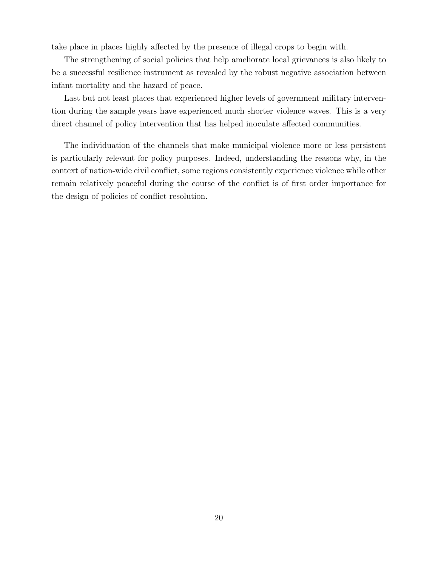take place in places highly affected by the presence of illegal crops to begin with.

The strengthening of social policies that help ameliorate local grievances is also likely to be a successful resilience instrument as revealed by the robust negative association between infant mortality and the hazard of peace.

Last but not least places that experienced higher levels of government military intervention during the sample years have experienced much shorter violence waves. This is a very direct channel of policy intervention that has helped inoculate affected communities.

The individuation of the channels that make municipal violence more or less persistent is particularly relevant for policy purposes. Indeed, understanding the reasons why, in the context of nation-wide civil conflict, some regions consistently experience violence while other remain relatively peaceful during the course of the conflict is of first order importance for the design of policies of conflict resolution.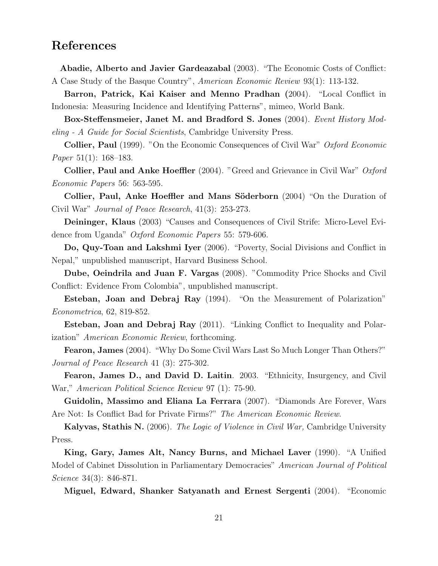## References

Abadie, Alberto and Javier Gardeazabal (2003). "The Economic Costs of Conflict: A Case Study of the Basque Country", American Economic Review 93(1): 113-132.

Barron, Patrick, Kai Kaiser and Menno Pradhan (2004). "Local Conflict in Indonesia: Measuring Incidence and Identifying Patterns", mimeo, World Bank.

Box-Steffensmeier, Janet M. and Bradford S. Jones (2004). Event History Modeling - A Guide for Social Scientists, Cambridge University Press.

Collier, Paul (1999). "On the Economic Consequences of Civil War" Oxford Economic Paper 51(1): 168–183.

**Collier, Paul and Anke Hoeffler** (2004). "Greed and Grievance in Civil War"  $Oxford$ Economic Papers 56: 563-595.

Collier, Paul, Anke Hoeffler and Mans Söderborn (2004) "On the Duration of Civil War" Journal of Peace Research, 41(3): 253-273.

Deininger, Klaus (2003) "Causes and Consequences of Civil Strife: Micro-Level Evidence from Uganda" Oxford Economic Papers 55: 579-606.

Do, Quy-Toan and Lakshmi Iyer (2006). "Poverty, Social Divisions and Conflict in Nepal," unpublished manuscript, Harvard Business School.

Dube, Oeindrila and Juan F. Vargas (2008). "Commodity Price Shocks and Civil Conflict: Evidence From Colombia", unpublished manuscript.

Esteban, Joan and Debraj Ray (1994). "On the Measurement of Polarization" Econometrica, 62, 819-852.

Esteban, Joan and Debraj Ray (2011). "Linking Conflict to Inequality and Polarization" American Economic Review, forthcoming.

Fearon, James (2004). "Why Do Some Civil Wars Last So Much Longer Than Others?" Journal of Peace Research 41 (3): 275-302.

Fearon, James D., and David D. Laitin. 2003. "Ethnicity, Insurgency, and Civil War," American Political Science Review 97 (1): 75-90.

Guidolin, Massimo and Eliana La Ferrara (2007). "Diamonds Are Forever, Wars Are Not: Is Conflict Bad for Private Firms?" The American Economic Review.

Kalyvas, Stathis N. (2006). The Logic of Violence in Civil War, Cambridge University Press.

King, Gary, James Alt, Nancy Burns, and Michael Laver (1990). "A Unified Model of Cabinet Dissolution in Parliamentary Democracies" American Journal of Political Science 34(3): 846-871.

Miguel, Edward, Shanker Satyanath and Ernest Sergenti (2004). "Economic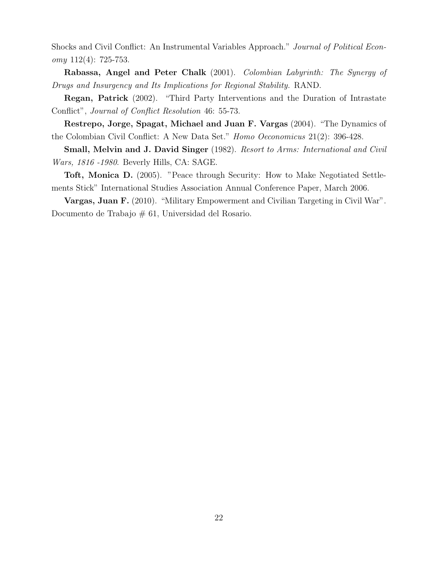Shocks and Civil Conflict: An Instrumental Variables Approach." Journal of Political Econ $omy 112(4): 725-753.$ 

Rabassa, Angel and Peter Chalk (2001). Colombian Labyrinth: The Synergy of Drugs and Insurgency and Its Implications for Regional Stability. RAND.

Regan, Patrick (2002). "Third Party Interventions and the Duration of Intrastate Conflict", Journal of Conflict Resolution 46: 55-73.

Restrepo, Jorge, Spagat, Michael and Juan F. Vargas (2004). "The Dynamics of the Colombian Civil Conflict: A New Data Set." Homo Oeconomicus 21(2): 396-428.

Small, Melvin and J. David Singer (1982). Resort to Arms: International and Civil Wars, 1816 -1980. Beverly Hills, CA: SAGE.

Toft, Monica D. (2005). "Peace through Security: How to Make Negotiated Settlements Stick" International Studies Association Annual Conference Paper, March 2006.

Vargas, Juan F. (2010). "Military Empowerment and Civilian Targeting in Civil War". Documento de Trabajo # 61, Universidad del Rosario.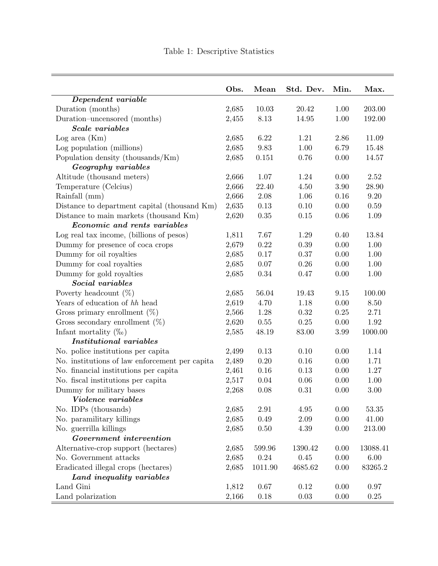$\overline{\phantom{0}}$ 

|                                                 | Obs.  | Mean     | Std. Dev. | Min. | Max.     |
|-------------------------------------------------|-------|----------|-----------|------|----------|
| Dependent variable                              |       |          |           |      |          |
| Duration (months)                               | 2,685 | 10.03    | 20.42     | 1.00 | 203.00   |
| Duration-uncensored (months)                    | 2,455 | 8.13     | 14.95     | 1.00 | 192.00   |
| Scale variables                                 |       |          |           |      |          |
| Log area (Km)                                   | 2,685 | 6.22     | 1.21      | 2.86 | 11.09    |
| Log population (millions)                       | 2,685 | 9.83     | 1.00      | 6.79 | 15.48    |
| Population density (thousands/Km)               | 2,685 | 0.151    | 0.76      | 0.00 | 14.57    |
| Geography variables                             |       |          |           |      |          |
| Altitude (thousand meters)                      | 2,666 | 1.07     | 1.24      | 0.00 | 2.52     |
| Temperature (Celcius)                           | 2,666 | 22.40    | 4.50      | 3.90 | 28.90    |
| Rainfall (mm)                                   | 2,666 | 2.08     | 1.06      | 0.16 | 9.20     |
| Distance to department capital (thousand Km)    | 2,635 | 0.13     | 0.10      | 0.00 | 0.59     |
| Distance to main markets (thousand Km)          | 2,620 | 0.35     | 0.15      | 0.06 | 1.09     |
| Economic and rents variables                    |       |          |           |      |          |
| Log real tax income, (billions of pesos)        | 1,811 | 7.67     | 1.29      | 0.40 | 13.84    |
| Dummy for presence of coca crops                | 2,679 | 0.22     | 0.39      | 0.00 | 1.00     |
| Dummy for oil royalties                         | 2,685 | 0.17     | 0.37      | 0.00 | 1.00     |
| Dummy for coal royalties                        | 2,685 | 0.07     | 0.26      | 0.00 | 1.00     |
| Dummy for gold royalties                        | 2,685 | $0.34\,$ | 0.47      | 0.00 | 1.00     |
| Social variables                                |       |          |           |      |          |
| Poverty headcount $(\%)$                        | 2,685 | 56.04    | 19.43     | 9.15 | 100.00   |
| Years of education of hh head                   | 2,619 | 4.70     | 1.18      | 0.00 | 8.50     |
| Gross primary enrollment $(\%)$                 | 2,566 | 1.28     | 0.32      | 0.25 | 2.71     |
| Gross secondary enrollment $(\%)$               | 2,620 | $0.55\,$ | 0.25      | 0.00 | 1.92     |
| Infant mortality $(\%_0)$                       | 2,585 | 48.19    | 83.00     | 3.99 | 1000.00  |
| <b>Institutional variables</b>                  |       |          |           |      |          |
| No. police institutions per capita              | 2,499 | 0.13     | 0.10      | 0.00 | 1.14     |
| No. institutions of law enforcement per capital | 2,489 | 0.20     | 0.16      | 0.00 | 1.71     |
| No. financial institutions per capita           | 2,461 | 0.16     | 0.13      | 0.00 | 1.27     |
| No. fiscal institutions per capita              | 2,517 | 0.04     | 0.06      | 0.00 | 1.00     |
| Dummy for military bases                        | 2,268 | 0.08     | 0.31      | 0.00 | 3.00     |
| Violence variables                              |       |          |           |      |          |
| No. IDPs (thousands)                            | 2,685 | 2.91     | 4.95      | 0.00 | 53.35    |
| No. paramilitary killings                       | 2,685 | 0.49     | 2.09      | 0.00 | 41.00    |
| No. guerrilla killings                          | 2,685 | $0.50\,$ | 4.39      | 0.00 | 213.00   |
| Government intervention                         |       |          |           |      |          |
| Alternative-crop support (hectares)             | 2,685 | 599.96   | 1390.42   | 0.00 | 13088.41 |
| No. Government attacks                          | 2,685 | 0.24     | 0.45      | 0.00 | $6.00\,$ |
| Eradicated illegal crops (hectares)             | 2,685 | 1011.90  | 4685.62   | 0.00 | 83265.2  |
| Land inequality variables                       |       |          |           |      |          |
| Land Gini                                       | 1,812 | 0.67     | 0.12      | 0.00 | 0.97     |
| Land polarization                               | 2,166 | 0.18     | 0.03      | 0.00 | 0.25     |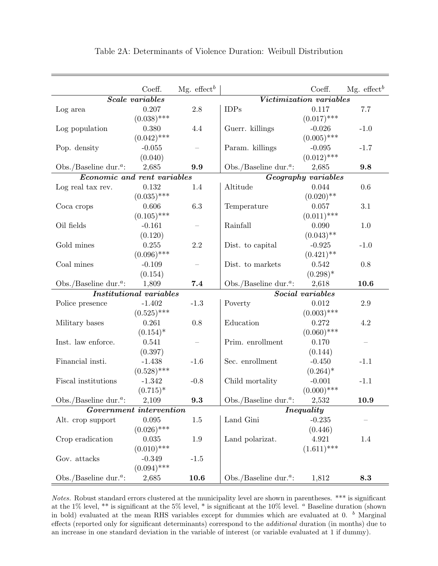|                                                | Coeff.                         | Mg. effect <sup>b</sup>  |                                                | Coeff.                  | Mg. effect <sup>b</sup> |
|------------------------------------------------|--------------------------------|--------------------------|------------------------------------------------|-------------------------|-------------------------|
|                                                | <b>Scale</b> variables         |                          |                                                | Victimization variables |                         |
| Log area                                       | 0.207                          | 2.8                      | <b>IDPs</b>                                    | 0.117                   | 7.7                     |
|                                                | $(0.038)$ ***                  |                          |                                                | $(0.017)$ ***           |                         |
| Log population                                 | 0.380                          | 4.4                      | Guerr. killings                                | $-0.026$                | $-1.0$                  |
|                                                | $(0.042)$ ***                  |                          |                                                | $(0.005)$ ***           |                         |
| Pop. density                                   | $-0.055$                       |                          | Param. killings                                | $-0.095$                | $-1.7$                  |
|                                                | (0.040)                        |                          |                                                | $(0.012)$ ***           |                         |
| Obs./Baseline dur. <sup><math>a</math></sup> : | 2,685                          | 9.9                      | Obs./Baseline dur. <sup><i>a</i></sup> :       | 2,685                   | 9.8                     |
| Economic and rent variables                    |                                |                          |                                                | Geography variables     |                         |
| Log real tax rev.                              | 0.132                          | 1.4                      | Altitude                                       | 0.044                   | 0.6                     |
|                                                | $(0.035)$ ***                  |                          |                                                | $(0.020)$ **            |                         |
| Coca crops                                     | 0.606                          | 6.3                      | Temperature                                    | 0.057                   | 3.1                     |
|                                                | $(0.105)$ ***                  |                          |                                                | $(0.011)$ ***           |                         |
| Oil fields                                     | $-0.161$                       |                          | Rainfall                                       | 0.090                   | 1.0                     |
|                                                | (0.120)                        |                          |                                                | $(0.043)$ **            |                         |
| Gold mines                                     | 0.255                          | 2.2                      | Dist. to capital                               | $-0.925$                | $-1.0$                  |
|                                                | $(0.096)$ ***                  |                          |                                                | $(0.421)$ **            |                         |
| Coal mines                                     | $-0.109$                       | $\overline{\phantom{0}}$ | Dist. to markets                               | 0.542                   | 0.8                     |
|                                                | (0.154)                        |                          |                                                | $(0.298)^*$             |                         |
| Obs./Baseline dur. <sup><math>a</math></sup> : | 1,809                          | 7.4                      | Obs./Baseline dur. <sup><i>a</i></sup> :       | 2,618                   | 10.6                    |
|                                                | <b>Institutional variables</b> |                          |                                                | Social variables        |                         |
| Police presence                                | $-1.402$                       | $-1.3$                   | Poverty                                        | 0.012                   | 2.9                     |
|                                                | $(0.525)$ ***                  |                          |                                                | $(0.003)$ ***           |                         |
| Military bases                                 | 0.261                          | 0.8                      | Education                                      | 0.272                   | 4.2                     |
|                                                | $(0.154)^*$                    |                          |                                                | $(0.060)$ ***           |                         |
| Inst. law enforce.                             | 0.541                          |                          | Prim. enrollment                               | 0.170                   |                         |
|                                                | (0.397)                        |                          |                                                | (0.144)                 |                         |
| Financial insti.                               | $-1.438$                       | $-1.6$                   | Sec. enrollment                                | $-0.450$                | $-1.1$                  |
|                                                | $(0.528)$ ***                  |                          |                                                | $(0.264)^*$             |                         |
| Fiscal institutions                            | $-1.342$                       | $-0.8$                   | Child mortality                                | $-0.001$                | $-1.1$                  |
|                                                | $(0.715)^*$                    |                          |                                                | $(0.000)$ ***           |                         |
| Obs./Baseline dur. <sup><math>a</math></sup> : | 2,109                          | 9.3                      | Obs./Baseline dur. <sup><math>a</math></sup> : | 2,532                   | 10.9                    |
|                                                | Government intervention        |                          |                                                | <i>Inequality</i>       |                         |
| Alt. crop support                              | 0.095                          | 1.5                      | Land Gini                                      | $-0.235$                |                         |
|                                                | $(0.026)$ ***                  |                          |                                                | (0.446)                 |                         |
| Crop eradication                               | 0.035                          | 1.9                      | Land polarizat.                                | 4.921                   | 1.4                     |
|                                                | $(0.010)$ ***                  |                          |                                                | $(1.611)$ ***           |                         |
| Gov. attacks                                   | $-0.349$                       | $-1.5$                   |                                                |                         |                         |
|                                                | $(0.094)$ ***                  |                          |                                                |                         |                         |
| Obs./Baseline dur. <sup><math>a</math></sup> : | 2,685                          | 10.6                     | Obs./Baseline dur. <sup><i>a</i></sup> :       | 1,812                   | 8.3                     |

Table 2A: Determinants of Violence Duration: Weibull Distribution

Notes. Robust standard errors clustered at the municipality level are shown in parentheses. \*\*\* is significant at the 1% level, \*\* is significant at the 5% level, \* is significant at the 10% level. <sup>a</sup> Baseline duration (shown in bold) evaluated at the mean RHS variables except for dummies which are evaluated at 0.  $<sup>b</sup>$  Marginal</sup> effects (reported only for significant determinants) correspond to the additional duration (in months) due to an increase in one standard deviation in the variable of interest (or variable evaluated at 1 if dummy).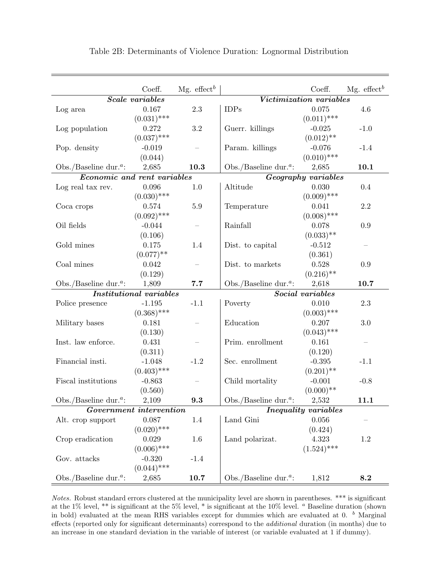|                                                | Coeff.                         | Mg. effect <sup>b</sup>  |                                                | Coeff.                      | Mg. effect <sup>b</sup> |
|------------------------------------------------|--------------------------------|--------------------------|------------------------------------------------|-----------------------------|-------------------------|
|                                                | <b>Scale</b> variables         |                          |                                                | Victimization variables     |                         |
| Log area                                       | 0.167                          | 2.3                      | <b>IDPs</b>                                    | 0.075                       | 4.6                     |
|                                                | $(0.031)$ ***                  |                          |                                                | $(0.011)$ ***               |                         |
| Log population                                 | 0.272                          | 3.2                      | Guerr. killings                                | $-0.025$                    | $-1.0$                  |
|                                                | $(0.037)$ ***                  |                          |                                                | $(0.012)$ **                |                         |
| Pop. density                                   | $-0.019$                       | $\overline{\phantom{0}}$ | Param. killings                                | $-0.076$                    | $-1.4$                  |
|                                                | (0.044)                        |                          |                                                | $(0.010)$ ***               |                         |
| Obs./Baseline dur. <sup><math>a</math></sup> : | 2,685                          | 10.3                     | Obs./Baseline dur. <sup><math>a</math></sup> : | 2,685                       | 10.1                    |
| Economic and rent variables                    |                                |                          |                                                | Geography variables         |                         |
| Log real tax rev.                              | $0.096\,$                      | 1.0                      | Altitude                                       | 0.030                       | 0.4                     |
|                                                | $(0.030)$ ***                  |                          |                                                | $(0.009)$ ***               |                         |
| Coca crops                                     | 0.574                          | $5.9\,$                  | Temperature                                    | 0.041                       | 2.2                     |
|                                                | $(0.092)$ ***                  |                          |                                                | $(0.008)$ ***               |                         |
| Oil fields                                     | $-0.044$                       |                          | Rainfall                                       | 0.078                       | 0.9                     |
|                                                | (0.106)                        |                          |                                                | $(0.033)$ **                |                         |
| Gold mines                                     | 0.175                          | 1.4                      | Dist. to capital                               | $-0.512$                    |                         |
|                                                | $(0.077)$ **                   |                          |                                                | (0.361)                     |                         |
| Coal mines                                     | 0.042                          | $\overline{\phantom{0}}$ | Dist. to markets                               | 0.528                       | 0.9                     |
|                                                | (0.129)                        |                          |                                                | $(0.216)$ **                |                         |
| Obs./Baseline dur. <sup><math>a</math></sup> : | 1,809                          | 7.7                      | Obs./Baseline dur. <sup><i>a</i></sup> :       | 2,618                       | 10.7                    |
|                                                | <b>Institutional variables</b> |                          |                                                | Social variables            |                         |
| Police presence                                | $-1.195$                       | $-1.1$                   | Poverty                                        | 0.010                       | 2.3                     |
|                                                | $(0.368)$ ***                  |                          |                                                | $(0.003)$ ***               |                         |
| Military bases                                 | 0.181                          |                          | Education                                      | 0.207                       | 3.0                     |
|                                                | (0.130)                        |                          |                                                | $(0.043)$ ***               |                         |
| Inst. law enforce.                             | 0.431                          |                          | Prim. enrollment                               | 0.161                       |                         |
|                                                | (0.311)                        |                          |                                                | (0.120)                     |                         |
| Financial insti.                               | $-1.048$                       | $-1.2$                   | Sec. enrollment                                | $-0.395$                    | $-1.1$                  |
|                                                | $(0.403)$ ***                  |                          |                                                | $(0.201)$ **                |                         |
| Fiscal institutions                            | $-0.863$                       |                          | Child mortality                                | $-0.001$                    | $-0.8$                  |
|                                                | (0.560)                        |                          |                                                | $(0.000)$ **                |                         |
| Obs./Baseline dur. <sup><math>a</math></sup> : | 2,109                          | 9.3                      | Obs./Baseline dur. <sup><math>a</math></sup> : | 2,532                       | 11.1                    |
|                                                | Government intervention        |                          |                                                | <i>Inequality variables</i> |                         |
| Alt. crop support                              | 0.087                          | 1.4                      | Land Gini                                      | 0.056                       |                         |
|                                                | $(0.020)$ ***                  |                          |                                                | (0.424)                     |                         |
| Crop eradication                               | 0.029                          | 1.6                      | Land polarizat.                                | 4.323                       | 1.2                     |
|                                                | $(0.006)$ ***                  |                          |                                                | $(1.524)$ ***               |                         |
| Gov. attacks                                   | $-0.320$                       | $-1.4$                   |                                                |                             |                         |
|                                                | $(0.044)$ ***                  |                          |                                                |                             |                         |
| Obs./Baseline dur. <sup><math>a</math></sup> : | 2,685                          | 10.7                     | Obs./Baseline dur. <sup><i>a</i></sup> :       | 1,812                       | 8.2                     |

Table 2B: Determinants of Violence Duration: Lognormal Distribution

Notes. Robust standard errors clustered at the municipality level are shown in parentheses. \*\*\* is significant at the 1% level, \*\* is significant at the 5% level, \* is significant at the 10% level. <sup>a</sup> Baseline duration (shown in bold) evaluated at the mean RHS variables except for dummies which are evaluated at 0.  $^b$  Marginal effects (reported only for significant determinants) correspond to the additional duration (in months) due to an increase in one standard deviation in the variable of interest (or variable evaluated at 1 if dummy).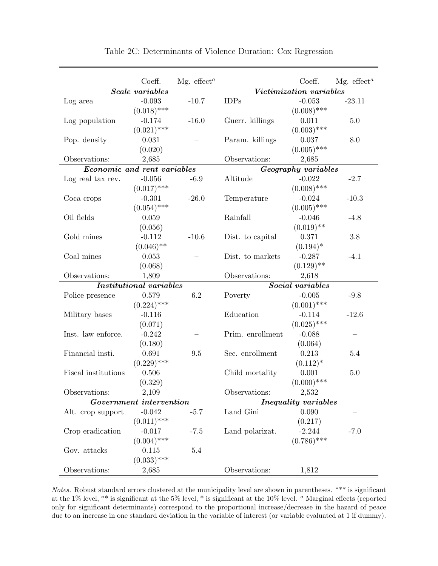|                             | Coeff.                         | Mg. $effect^a$ |                  | Coeff.                      | Mg. $effecta$ |
|-----------------------------|--------------------------------|----------------|------------------|-----------------------------|---------------|
|                             | <b>Scale</b> variables         |                |                  | Victimization variables     |               |
| Log area                    | $-0.093$                       | $-10.7$        | <b>IDPs</b>      | $-0.053$                    | $-23.11$      |
|                             | $(0.018)$ ***                  |                |                  | $(0.008)$ ***               |               |
| Log population              | $-0.174$                       | $-16.0$        | Guerr. killings  | 0.011                       | 5.0           |
|                             | $(0.021)$ ***                  |                |                  | $(0.003)$ ***               |               |
| Pop. density                | 0.031                          |                | Param. killings  | 0.037                       | 8.0           |
|                             | (0.020)                        |                |                  | $(0.005)$ ***               |               |
| Observations:               | 2,685                          |                | Observations:    | 2,685                       |               |
| Economic and rent variables |                                |                |                  | Geography variables         |               |
| Log real tax rev.           | $-0.056$                       | $-6.9$         | Altitude         | $-0.022$                    | $-2.7$        |
|                             | $(0.017)$ ***                  |                |                  | $(0.008)$ ***               |               |
| Coca crops                  | $-0.301$                       | $-26.0$        | Temperature      | $-0.024$                    | $-10.3$       |
|                             | $(0.054)$ ***                  |                |                  | $(0.005)$ ***               |               |
| Oil fields                  | 0.059                          |                | Rainfall         | $-0.046$                    | $-4.8$        |
|                             | (0.056)                        |                |                  | $(0.019)$ **                |               |
| Gold mines                  | $-0.112$                       | $-10.6$        | Dist. to capital | 0.371                       | 3.8           |
|                             | $(0.046)$ **                   |                |                  | $(0.194)^*$                 |               |
| Coal mines                  | 0.053                          |                | Dist. to markets | $-0.287$                    | $-4.1$        |
|                             | (0.068)                        |                |                  | $(0.129)$ **                |               |
| Observations:               | 1,809                          |                | Observations:    | 2,618                       |               |
|                             | <b>Institutional variables</b> |                |                  | Social variables            |               |
| Police presence             | 0.579                          | 6.2            | Poverty          | $-0.005$                    | $-9.8$        |
|                             | $(0.224)$ ***                  |                |                  | $(0.001)$ ***               |               |
| Military bases              | $-0.116$                       |                | Education        | $-0.114$                    | $-12.6$       |
|                             | (0.071)                        |                |                  | $(0.025)$ ***               |               |
| Inst. law enforce.          | $-0.242$                       |                | Prim. enrollment | $-0.088$                    |               |
|                             |                                |                |                  | (0.064)                     |               |
| Financial insti.            | (0.180)<br>0.691               | 9.5            | Sec. enrollment  | 0.213                       | 5.4           |
|                             |                                |                |                  |                             |               |
|                             | $(0.229)$ ***                  |                |                  | $(0.112)^*$                 |               |
| Fiscal institutions         | 0.506                          |                | Child mortality  | 0.001                       | 5.0           |
|                             | (0.329)                        |                |                  | $(0.000)$ ***               |               |
| Observations:               | 2,109                          |                | Observations:    | 2,532                       |               |
|                             | Government intervention        |                |                  | <b>Inequality</b> variables |               |
| Alt. crop support           | $-0.042$                       | $-5.7$         | Land Gini        | 0.090                       |               |
|                             | $(0.011)$ ***                  |                |                  | (0.217)                     |               |
| Crop eradication            | $-0.017$                       | $-7.5$         | Land polarizat.  | $-2.244$                    | $-7.0$        |
|                             | $(0.004)$ ***                  |                |                  | $(0.786)$ ***               |               |
| Gov. attacks                | 0.115                          | 5.4            |                  |                             |               |
|                             | $(0.033)$ ***                  |                |                  |                             |               |
| Observations:               | 2,685                          |                | Observations:    | 1,812                       |               |

Table 2C: Determinants of Violence Duration: Cox Regression

Notes. Robust standard errors clustered at the municipality level are shown in parentheses. \*\*\* is significant at the 1% level, \*\* is significant at the 5% level, \* is significant at the 10% level. <sup>a</sup> Marginal effects (reported only for significant determinants) correspond to the proportional increase/decrease in the hazard of peace due to an increase in one standard deviation in the variable of interest (or variable evaluated at 1 if dummy).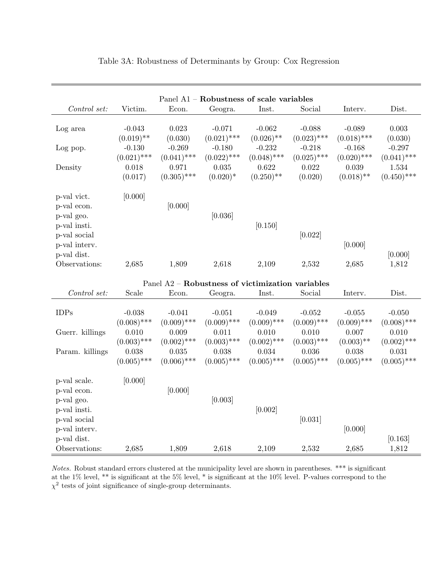| Panel A1 - Robustness of scale variables                                 |                           |                                                  |                           |                           |                           |                           |                           |  |
|--------------------------------------------------------------------------|---------------------------|--------------------------------------------------|---------------------------|---------------------------|---------------------------|---------------------------|---------------------------|--|
| Control set:                                                             | Victim.                   | Econ.                                            | Geogra.                   | Inst.                     | Social                    | Interv.                   | Dist.                     |  |
| Log area                                                                 | $-0.043$<br>$(0.019)$ **  | 0.023<br>(0.030)                                 | $-0.071$<br>$(0.021)$ *** | $-0.062$<br>$(0.026)$ **  | $-0.088$<br>$(0.023)$ *** | $-0.089$<br>$(0.018)$ *** | 0.003<br>(0.030)          |  |
| Log pop.                                                                 | $-0.130$<br>$(0.021)$ *** | $-0.269$<br>$(0.041)$ ***                        | $-0.180$<br>$(0.022)$ *** | $-0.232$<br>$(0.048)$ *** | $-0.218$<br>$(0.025)$ *** | $-0.168$<br>$(0.020)$ *** | $-0.297$<br>$(0.041)$ *** |  |
| Density                                                                  | 0.018<br>(0.017)          | 0.971<br>$(0.305)$ ***                           | 0.035<br>$(0.020)*$       | 0.622<br>$(0.250)$ **     | 0.022<br>(0.020)          | 0.039<br>$(0.018)$ **     | 1.534<br>$(0.450)$ ***    |  |
| p-val vict.<br>p-val econ.<br>p-val geo.<br>p-val insti.<br>p-val social | [0.000]                   | [0.000]                                          | [0.036]                   | [0.150]                   | [0.022]                   |                           |                           |  |
| p-val interv.<br>p-val dist.<br>Observations:                            | 2,685                     | 1,809                                            | 2,618                     | 2,109                     | 2,532                     | [0.000]<br>2,685          | [0.000]<br>1,812          |  |
|                                                                          |                           | Panel A2 - Robustness of victimization variables |                           |                           |                           |                           |                           |  |
| Control set:                                                             | Scale                     | Econ.                                            | Geogra.                   | Inst.                     | Social                    | Interv.                   | Dist.                     |  |
| <b>IDPs</b>                                                              | $-0.038$<br>$(0.008)$ *** | $-0.041$<br>$(0.009)$ ***                        | $-0.051$<br>$(0.009)$ *** | $-0.049$<br>$(0.009)$ *** | $-0.052$<br>$(0.009)$ *** | $-0.055$<br>$(0.009)$ *** | $-0.050$<br>$(0.008)$ *** |  |
| Guerr. killings                                                          | 0.010<br>$(0.003)$ ***    | 0.009<br>$(0.002)$ ***                           | 0.011<br>$(0.003)$ ***    | 0.010<br>$(0.002)$ ***    | 0.010<br>$(0.003)$ ***    | 0.007<br>$(0.003)$ **     | 0.010<br>$(0.002)$ ***    |  |
| Param. killings                                                          | 0.038<br>$(0.005)$ ***    | 0.035<br>$(0.006)$ ***                           | 0.038<br>$(0.005)$ ***    | 0.034<br>$(0.005)$ ***    | 0.036<br>$(0.005)$ ***    | 0.038<br>$(0.005)$ ***    | 0.031<br>$(0.005)$ ***    |  |
| p-val scale.<br>p-val econ.<br>p-val geo.<br>p-val insti.                | [0.000]                   | [0.000]                                          | [0.003]                   | [0.002]                   |                           |                           |                           |  |
| p-val social<br>p-val interv.<br>p-val dist.                             |                           |                                                  |                           |                           | [0.031]                   | [0.000]                   | [0.163]                   |  |
| Observations:                                                            | 2,685                     | 1,809                                            | 2,618                     | 2,109                     | 2,532                     | 2,685                     | 1,812                     |  |

#### Table 3A: Robustness of Determinants by Group: Cox Regression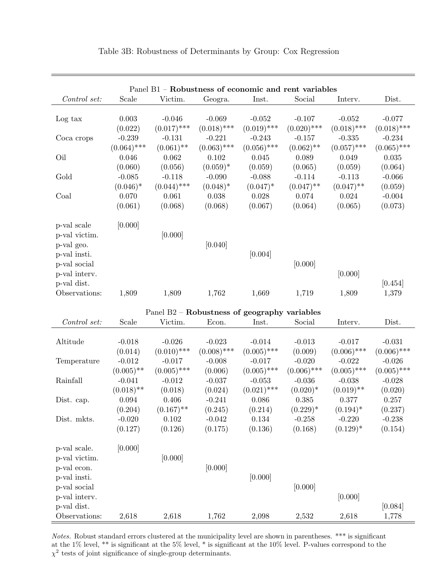| Panel B1 - Robustness of economic and rent variables |                                |                                  |                                                       |                                 |                                    |                                        |                                |  |
|------------------------------------------------------|--------------------------------|----------------------------------|-------------------------------------------------------|---------------------------------|------------------------------------|----------------------------------------|--------------------------------|--|
| Control set:                                         | Scale                          | Victim.                          | Geogra.                                               | Inst.                           | Social                             | Interv.                                | Dist.                          |  |
| Log tax                                              | 0.003<br>(0.022)               | $-0.046$<br>$(0.017)$ ***        | $-0.069$<br>$(0.018)$ ***                             | $-0.052$<br>$(0.019)$ ***       | $-0.107$<br>$(0.020)$ ***          | $-0.052$<br>$(0.018)$ ***              | $-0.077$<br>$(0.018)$ ***      |  |
| Coca crops                                           | $-0.239$<br>$(0.064)$ ***      | $-0.131$<br>$(0.061)$ **         | $-0.221$<br>$(0.063)$ ***                             | $-0.243$<br>$(0.056)$ ***       | $-0.157$<br>$(0.062)$ **           | $-0.335$<br>$(0.057)$ ***              | $-0.234$<br>$(0.065)$ ***      |  |
| Oil                                                  | 0.046<br>(0.060)               | 0.062<br>(0.056)                 | 0.102<br>$(0.059)*$                                   | 0.045<br>(0.059)                | 0.089<br>(0.065)                   | 0.049<br>(0.059)                       | 0.035<br>(0.064)               |  |
| Gold                                                 | $-0.085$<br>$(0.046)^*$        | $-0.118$<br>$(0.044)$ ***        | $-0.090$<br>$(0.048)^*$                               | $-0.088$<br>$(0.047)^*$         | $-0.114$<br>$(0.047)$ **           | $-0.113$<br>$(0.047)$ **               | $-0.066$<br>(0.059)            |  |
| Coal                                                 | 0.070<br>(0.061)               | 0.061<br>(0.068)                 | 0.038<br>(0.068)                                      | $0.028\,$<br>(0.067)            | 0.074<br>(0.064)                   | 0.024<br>(0.065)                       | $-0.004$<br>(0.073)            |  |
| p-val scale<br>p-val victim.<br>p-val geo.           | [0.000]                        | [0.000]                          | [0.040]                                               |                                 |                                    |                                        |                                |  |
| p-val insti.<br>p-val social<br>p-val interv.        |                                |                                  |                                                       | [0.004]                         | [0.000]                            | [0.000]                                |                                |  |
| p-val dist.<br>Observations:                         | 1,809                          | 1,809                            | 1,762                                                 | 1,669                           | 1,719                              | 1,809                                  | [0.454]<br>1,379               |  |
|                                                      |                                |                                  | Panel $B2 -$ <b>Robustness of geography variables</b> |                                 |                                    |                                        |                                |  |
| Control set:                                         | Scale                          | Victim.                          | Econ.                                                 | Inst.                           | Social                             | Interv.                                | Dist.                          |  |
| Altitude                                             | $-0.018$<br>(0.014)            | $-0.026$<br>$(0.010)$ ***        | $-0.023$<br>$(0.008)$ ***                             | $-0.014$<br>$(0.005)$ ***       | $-0.013$<br>(0.009)                | $-0.017$<br>$(0.006)$ ***              | $-0.031$<br>$(0.006)$ ***      |  |
| Temperature                                          | $-0.012$<br>$(0.005)$ **       | $-0.017$<br>$(0.005)$ ***        | $-0.008$<br>(0.006)                                   | $-0.017$<br>$(0.005)$ ***       | $-0.020$<br>$(0.006)$ ***          | $-0.022$<br>$(0.005)$ ***              | $-0.026$<br>$(0.005)$ ***      |  |
| Rainfall                                             | $-0.041$<br>$(0.018)$ **       | $-0.012$<br>(0.018)              | $-0.037$<br>(0.024)                                   | $-0.053$<br>$(0.021)$ ***       | $-0.036$<br>$(0.020)*$             | $-0.038$<br>$(0.019)$ **               | $-0.028$<br>(0.020)            |  |
| Dist. cap.                                           | 0.094                          | 0.406                            | $-0.241$                                              | 0.086                           | 0.385                              | 0.377                                  | 0.257                          |  |
| Dist. mkts.                                          | (0.204)<br>$-0.020$<br>(0.127) | $(0.167)$ **<br>0.102<br>(0.126) | (0.245)<br>$-0.042$<br>(0.175)                        | (0.214)<br>$0.134\,$<br>(0.136) | $(0.229)^*$<br>$-0.258$<br>(0.168) | $(0.194)^*$<br>$-0.220$<br>$(0.129)^*$ | (0.237)<br>$-0.238$<br>(0.154) |  |
| p-val scale.                                         | [0.000]                        |                                  |                                                       |                                 |                                    |                                        |                                |  |
| p-val victim.<br>p-val econ.<br>p-val insti.         |                                | [0.000]                          | [0.000]                                               | [0.000]                         |                                    |                                        |                                |  |
| p-val social<br>p-val interv.                        |                                |                                  |                                                       |                                 | [0.000]                            | [0.000]                                |                                |  |
| p-val dist.<br>Observations:                         | 2,618                          | 2,618                            | 1,762                                                 | 2,098                           | 2,532                              | 2,618                                  | [0.084]<br>1,778               |  |

Table 3B: Robustness of Determinants by Group: Cox Regression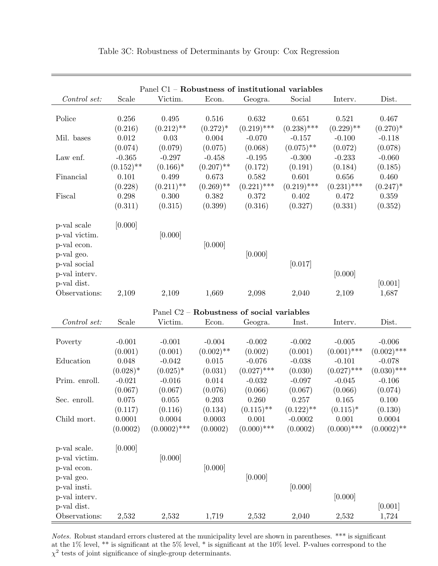| Panel C1 - Robustness of institutional variables |              |                |              |                                                       |               |               |               |  |
|--------------------------------------------------|--------------|----------------|--------------|-------------------------------------------------------|---------------|---------------|---------------|--|
| Control set:                                     | Scale        | Victim.        | Econ.        | Geogra.                                               | Social        | Interv.       | Dist.         |  |
| Police                                           | 0.256        | 0.495          | 0.516        | 0.632                                                 | 0.651         | 0.521         | 0.467         |  |
|                                                  | (0.216)      | $(0.212)$ **   | $(0.272)^*$  | $(0.219)$ ***                                         | $(0.238)$ *** | $(0.229)$ **  | $(0.270)*$    |  |
| Mil. bases                                       | 0.012        | 0.03           | 0.004        | $-0.070$                                              | $-0.157$      | $-0.100$      | $-0.118$      |  |
|                                                  | (0.074)      | (0.079)        | (0.075)      | (0.068)                                               | $(0.075)$ **  | (0.072)       | (0.078)       |  |
| Law enf.                                         | $-0.365$     | $-0.297$       | $-0.458$     | $-0.195$                                              | $-0.300$      | $-0.233$      | $-0.060$      |  |
|                                                  | $(0.152)$ ** | $(0.166)^*$    | $(0.207)$ ** | (0.172)                                               | (0.191)       | (0.184)       | (0.185)       |  |
| Financial                                        | 0.101        | 0.499          | 0.673        | 0.582                                                 | 0.601         | 0.656         | 0.460         |  |
|                                                  | (0.228)      | $(0.211)$ **   | $(0.269)$ ** | $(0.221)$ ***                                         | $(0.219)$ *** | $(0.231)$ *** | $(0.247)^*$   |  |
| Fiscal                                           | 0.298        | 0.300          | 0.382        | 0.372                                                 | 0.402         | 0.472         | 0.359         |  |
|                                                  | (0.311)      | (0.315)        | (0.399)      | (0.316)                                               | (0.327)       | (0.331)       | (0.352)       |  |
| p-val scale                                      | [0.000]      |                |              |                                                       |               |               |               |  |
| p-val victim.                                    |              | [0.000]        |              |                                                       |               |               |               |  |
| p-val econ.                                      |              |                | [0.000]      |                                                       |               |               |               |  |
| p-val geo.                                       |              |                |              | [0.000]                                               |               |               |               |  |
| p-val social                                     |              |                |              |                                                       | [0.017]       |               |               |  |
| p-val interv.                                    |              |                |              |                                                       |               | [0.000]       |               |  |
| p-val dist.                                      |              |                |              |                                                       |               |               | [0.001]       |  |
| Observations:                                    | 2,109        | 2,109          | 1,669        | 2,098                                                 | 2,040         | 2,109         | 1,687         |  |
|                                                  |              |                |              | Panel C <sub>2</sub> - Robustness of social variables |               |               |               |  |
| Control set:                                     | Scale        | Victim.        | Econ.        | Geogra.                                               | Inst.         | Interv.       | Dist.         |  |
| Poverty                                          | $-0.001$     | $-0.001$       | $-0.004$     | $-0.002$                                              | $-0.002$      | $-0.005$      | $-0.006$      |  |
|                                                  | (0.001)      | (0.001)        | $(0.002)$ ** | (0.002)                                               | (0.001)       | $(0.001)$ *** | $(0.002)$ *** |  |
| Education                                        | $0.048\,$    | $-0.042$       | 0.015        | $-0.076$                                              | $-0.038$      | $-0.101$      | $-0.078$      |  |
|                                                  | $(0.028)^*$  | $(0.025)^*$    | (0.031)      | $(0.027)$ ***                                         | (0.030)       | $(0.027)$ *** | $(0.030)$ *** |  |
| Prim. enroll.                                    | $-0.021$     | $-0.016$       | 0.014        | $-0.032$                                              | $-0.097$      | $-0.045$      | $-0.106$      |  |
|                                                  | (0.067)      | (0.067)        | (0.076)      | (0.066)                                               | (0.067)       | (0.066)       | (0.074)       |  |
| Sec. enroll.                                     | 0.075        | 0.055          | 0.203        | 0.260                                                 | 0.257         | 0.165         | 0.100         |  |
|                                                  | (0.117)      | (0.116)        | (0.134)      | $(0.115)$ **                                          | $(0.122)$ **  | $(0.115)^*$   | (0.130)       |  |
| Child mort.                                      | 0.0001       | 0.0004         | 0.0003       | 0.001                                                 | $-0.0002$     | 0.001         | 0.0004        |  |
|                                                  | (0.0002)     | $(0.0002)$ *** | (0.0002)     | $(0.000)$ ***                                         | (0.0002)      | $(0.000)$ *** | $(0.0002)$ ** |  |
| p-val scale.                                     | [0.000]      |                |              |                                                       |               |               |               |  |
| p-val victim.                                    |              | [0.000]        |              |                                                       |               |               |               |  |
| p-val econ.                                      |              |                | [0.000]      |                                                       |               |               |               |  |
| p-val geo.                                       |              |                |              | [0.000]                                               |               |               |               |  |
| p-val insti.                                     |              |                |              |                                                       | [0.000]       |               |               |  |
| p-val interv.                                    |              |                |              |                                                       |               | [0.000]       |               |  |
| p-val dist.                                      |              |                |              |                                                       |               |               | [0.001]       |  |
| Observations:                                    | 2,532        | 2,532          | 1,719        | 2,532                                                 | 2,040         | 2,532         | 1,724         |  |

Table 3C: Robustness of Determinants by Group: Cox Regression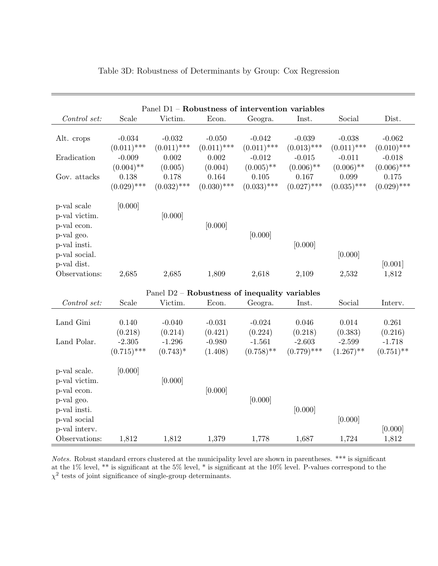| Panel D1 - Robustness of intervention variables             |                           |                           |                                               |                           |                           |                           |                            |  |  |
|-------------------------------------------------------------|---------------------------|---------------------------|-----------------------------------------------|---------------------------|---------------------------|---------------------------|----------------------------|--|--|
| Control set:                                                | Scale                     | Victim.                   | Econ.                                         | Geogra.                   | Inst.                     | Social                    | Dist.                      |  |  |
| Alt. crops                                                  | $-0.034$<br>$(0.011)$ *** | $-0.032$<br>$(0.011)$ *** | $-0.050$<br>$(0.011)$ ***                     | $-0.042$<br>$(0.011)$ *** | $-0.039$<br>$(0.013)$ *** | $-0.038$<br>$(0.011)$ *** | $-0.062$<br>$(0.010)$ ***  |  |  |
| Eradication                                                 | $-0.009$<br>$(0.004)$ **  | 0.002<br>(0.005)          | 0.002<br>(0.004)                              | $-0.012$<br>$(0.005)$ **  | $-0.015$<br>$(0.006)$ **  | $-0.011$<br>$(0.006)$ **  | $-0.018$<br>$(0.006)$ ***  |  |  |
| Gov. attacks                                                | 0.138<br>$(0.029)$ ***    | 0.178<br>$(0.032)$ ***    | 0.164<br>$(0.030)$ ***                        | 0.105<br>$(0.033)$ ***    | 0.167<br>$(0.027)$ ***    | 0.099<br>$(0.035)$ ***    | $0.175\,$<br>$(0.029)$ *** |  |  |
| p-val scale<br>p-val victim.<br>p-val econ.<br>p-val geo.   | [0.000]                   | [0.000]                   | [0.000]                                       | [0.000]                   |                           |                           |                            |  |  |
| p-val insti.<br>p-val social.                               |                           |                           |                                               |                           | [0.000]                   | [0.000]                   | [0.001]                    |  |  |
| p-val dist.<br>Observations:                                | 2,685                     | 2,685                     | 1,809                                         | 2,618                     | 2,109                     | 2,532                     | 1,812                      |  |  |
|                                                             |                           |                           | Panel D2 - Robustness of inequality variables |                           |                           |                           |                            |  |  |
| Control set:                                                | Scale                     | Victim.                   | Econ.                                         | Geogra.                   | Inst.                     | Social                    | Interv.                    |  |  |
| Land Gini                                                   | 0.140<br>(0.218)          | $-0.040$<br>(0.214)       | $-0.031$<br>(0.421)                           | $-0.024$<br>(0.224)       | 0.046<br>(0.218)          | 0.014<br>(0.383)          | 0.261<br>(0.216)           |  |  |
| Land Polar.                                                 | $-2.305$<br>$(0.715)$ *** | $-1.296$<br>$(0.743)^*$   | $-0.980$<br>(1.408)                           | $-1.561$<br>$(0.758)$ **  | $-2.603$<br>$(0.779)$ *** | $-2.599$<br>$(1.267)$ **  | $-1.718$<br>$(0.751)$ **   |  |  |
| p-val scale.<br>p-val victim.<br>p-val econ.                | [0.000]                   | [0.000]                   | [0.000]                                       |                           |                           |                           |                            |  |  |
| p-val geo.<br>p-val insti.<br>p-val social<br>p-val interv. |                           |                           |                                               | [0.000]                   | [0.000]                   | [0.000]                   | [0.000]                    |  |  |
| Observations:                                               | 1,812                     | 1,812                     | 1,379                                         | 1,778                     | 1,687                     | 1,724                     | 1,812                      |  |  |

| Table 3D: Robustness of Determinants by Group: Cox Regression |  |  |
|---------------------------------------------------------------|--|--|
|                                                               |  |  |